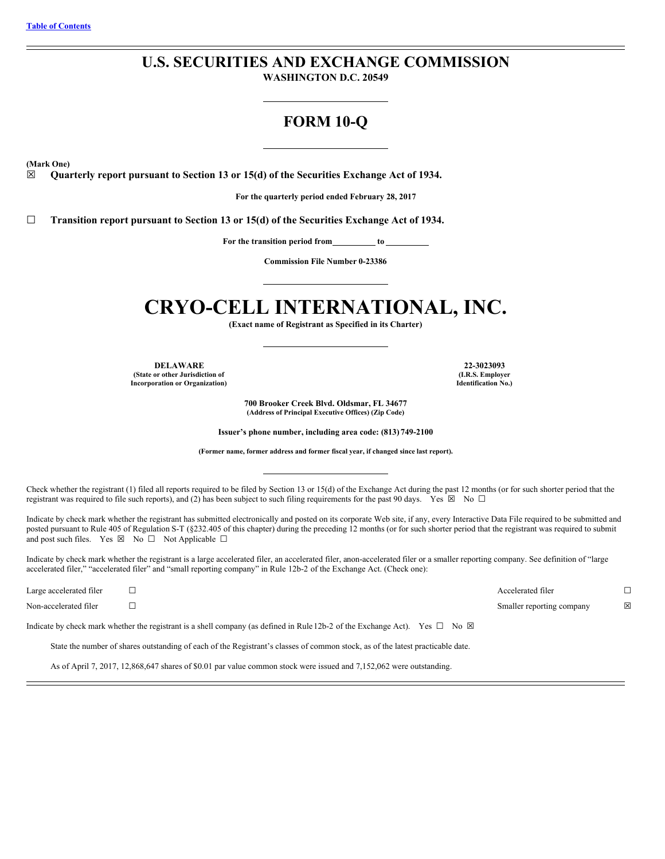## **U.S. SECURITIES AND EXCHANGE COMMISSION**

**WASHINGTON D.C. 20549**

# **FORM 10-Q**

**(Mark One)**

☒ **Quarterly report pursuant to Section 13 or 15(d) of the Securities Exchange Act of 1934.**

**For the quarterly period ended February 28, 2017**

☐ **Transition report pursuant to Section 13 or 15(d) of the Securities Exchange Act of 1934.**

**For the transition period from to**

**Commission File Number 0-23386**

# **CRYO-CELL INTERNATIONAL, INC.**

**(Exact name of Registrant as Specified in its Charter)**

**DELAWARE 22-3023093 (State or other Jurisdiction of Incorporation or Organization)**

**(I.R.S. Employer Identification No.)**

**700 Brooker Creek Blvd. Oldsmar, FL 34677 (Address of Principal Executive Offices) (Zip Code)**

**Issuer's phone number, including area code: (813) 749-2100**

**(Former name, former address and former fiscal year, if changed since last report).**

Check whether the registrant (1) filed all reports required to be filed by Section 13 or 15(d) of the Exchange Act during the past 12 months (or for such shorter period that the registrant was required to file such reports), and (2) has been subject to such filing requirements for the past 90 days. Yes  $\boxtimes$  No  $\Box$ 

Indicate by check mark whether the registrant has submitted electronically and posted on its corporate Web site, if any, every Interactive Data File required to be submitted and posted pursuant to Rule 405 of Regulation S-T (§232.405 of this chapter) during the preceding 12 months (or for such shorter period that the registrant was required to submit and post such files. Yes  $\boxtimes$  No  $\Box$  Not Applicable  $\Box$ 

Indicate by check mark whether the registrant is a large accelerated filer, an accelerated filer, anon-accelerated filer or a smaller reporting company. See definition of "large accelerated filer," "accelerated filer" and "small reporting company" in Rule 12b-2 of the Exchange Act. (Check one):

Large accelerated filer ☐ Accelerated filer ☐

Non-accelerated filer ☐ Smaller reporting company ☒

Indicate by check mark whether the registrant is a shell company (as defined in Rule 12b-2 of the Exchange Act). Yes  $\Box$  No  $\boxtimes$ 

State the number of shares outstanding of each of the Registrant's classes of common stock, as of the latest practicable date.

As of April 7, 2017, 12,868,647 shares of \$0.01 par value common stock were issued and 7,152,062 were outstanding.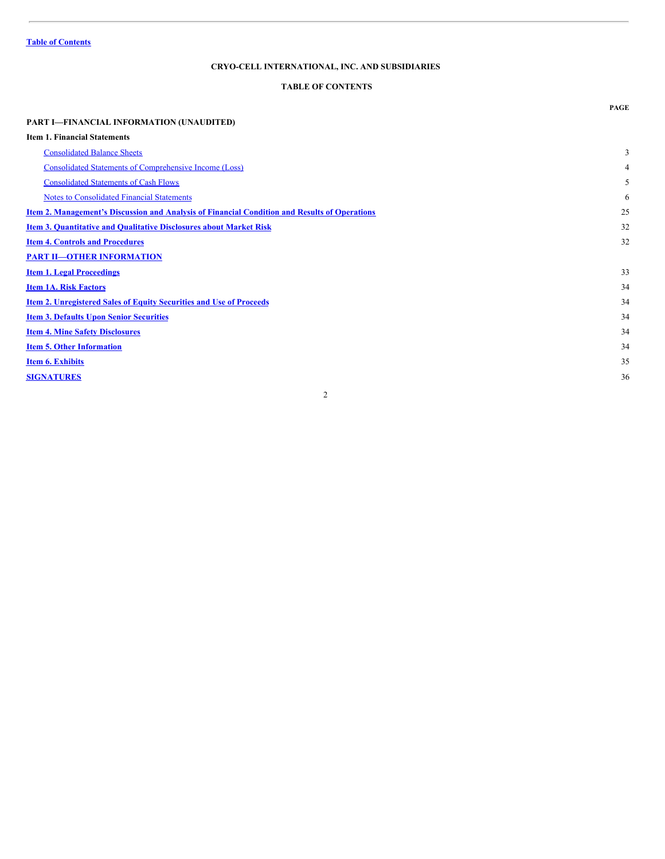## <span id="page-1-0"></span>**TABLE OF CONTENTS**

|                                                                                                      | <b>PAGE</b> |
|------------------------------------------------------------------------------------------------------|-------------|
| PART I-FINANCIAL INFORMATION (UNAUDITED)                                                             |             |
| <b>Item 1. Financial Statements</b>                                                                  |             |
| <b>Consolidated Balance Sheets</b>                                                                   | 3           |
| <b>Consolidated Statements of Comprehensive Income (Loss)</b>                                        | 4           |
| <b>Consolidated Statements of Cash Flows</b>                                                         | 5           |
| <b>Notes to Consolidated Financial Statements</b>                                                    | 6           |
| <u>Item 2. Management's Discussion and Analysis of Financial Condition and Results of Operations</u> | 25          |
| <b>Item 3. Quantitative and Qualitative Disclosures about Market Risk</b>                            | 32          |
| <b>Item 4. Controls and Procedures</b>                                                               | 32          |
| <b>PART II-OTHER INFORMATION</b>                                                                     |             |
| <b>Item 1. Legal Proceedings</b>                                                                     | 33          |
| <b>Item 1A. Risk Factors</b>                                                                         | 34          |
| <b>Item 2. Unregistered Sales of Equity Securities and Use of Proceeds</b>                           | 34          |
| <b>Item 3. Defaults Upon Senior Securities</b>                                                       | 34          |
| <b>Item 4. Mine Safety Disclosures</b>                                                               | 34          |
| <b>Item 5. Other Information</b>                                                                     | 34          |
| <b>Item 6. Exhibits</b>                                                                              | 35          |
| <b>SIGNATURES</b>                                                                                    | 36          |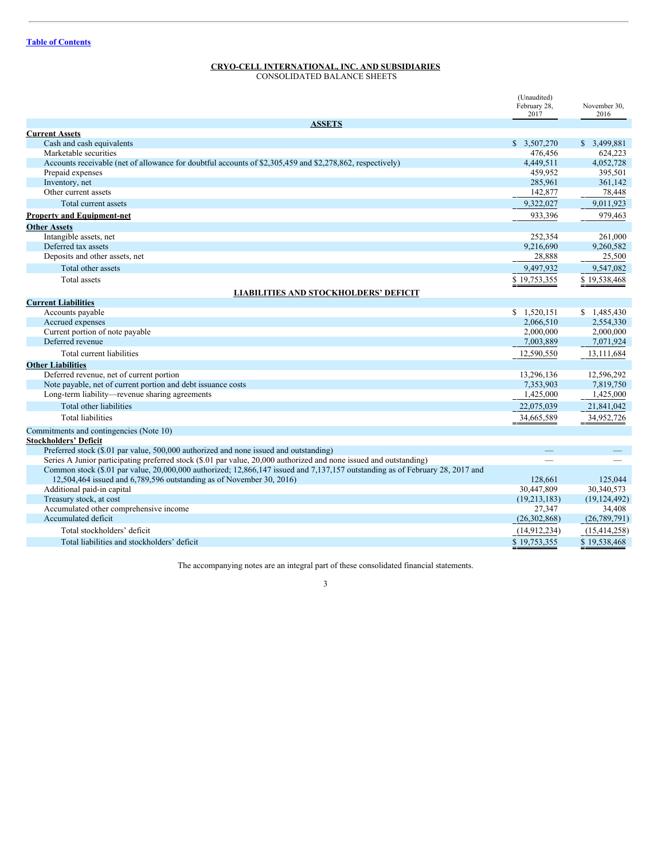<span id="page-2-0"></span>CONSOLIDATED BALANCE SHEETS

|                                                                                                                               | (Unaudited)<br>February 28,<br>2017 | November 30.<br>2016 |
|-------------------------------------------------------------------------------------------------------------------------------|-------------------------------------|----------------------|
| <b>ASSETS</b>                                                                                                                 |                                     |                      |
| <b>Current Assets</b>                                                                                                         |                                     |                      |
| Cash and cash equivalents                                                                                                     | \$3,507,270                         | \$3,499,881          |
| Marketable securities                                                                                                         | 476,456                             | 624,223              |
| Accounts receivable (net of allowance for doubtful accounts of \$2,305,459 and \$2,278,862, respectively)                     | 4,449,511                           | 4,052,728            |
| Prepaid expenses                                                                                                              | 459,952                             | 395.501              |
| Inventory, net                                                                                                                | 285,961                             | 361,142              |
| Other current assets                                                                                                          | 142,877                             | 78,448               |
| Total current assets                                                                                                          | 9,322,027                           | 9,011,923            |
| <b>Property and Equipment-net</b>                                                                                             | 933,396                             | 979,463              |
| <b>Other Assets</b>                                                                                                           |                                     |                      |
| Intangible assets, net                                                                                                        | 252,354                             | 261,000              |
| Deferred tax assets                                                                                                           | 9,216,690                           | 9,260,582            |
| Deposits and other assets, net                                                                                                | 28,888                              | 25,500               |
| Total other assets                                                                                                            | 9,497,932                           | 9.547.082            |
| <b>Total assets</b>                                                                                                           | \$19,753,355                        | \$19,538,468         |
| <b>LIABILITIES AND STOCKHOLDERS' DEFICIT</b>                                                                                  |                                     |                      |
| <b>Current Liabilities</b>                                                                                                    |                                     |                      |
| Accounts payable                                                                                                              | \$1,520,151                         | \$1,485,430          |
| Accrued expenses                                                                                                              | 2,066,510                           | 2,554,330            |
| Current portion of note payable                                                                                               | 2,000,000                           | 2,000,000            |
| Deferred revenue                                                                                                              | 7,003,889                           | 7,071,924            |
| Total current liabilities                                                                                                     | 12,590,550                          | 13,111,684           |
| <b>Other Liabilities</b>                                                                                                      |                                     |                      |
| Deferred revenue, net of current portion                                                                                      | 13,296,136                          | 12,596,292           |
| Note payable, net of current portion and debt issuance costs                                                                  | 7,353,903                           | 7,819,750            |
| Long-term liability—revenue sharing agreements                                                                                | 1,425,000                           | 1,425,000            |
| Total other liabilities                                                                                                       | 22,075,039                          | 21,841,042           |
| <b>Total liabilities</b>                                                                                                      | 34,665,589                          | 34,952,726           |
| Commitments and contingencies (Note 10)                                                                                       |                                     |                      |
| <b>Stockholders' Deficit</b>                                                                                                  |                                     |                      |
| Preferred stock (\$.01 par value, 500,000 authorized and none issued and outstanding)                                         |                                     |                      |
| Series A Junior participating preferred stock (\$.01 par value, 20,000 authorized and none issued and outstanding)            |                                     |                      |
| Common stock (\$.01 par value, 20,000,000 authorized; 12,866,147 issued and 7,137,157 outstanding as of February 28, 2017 and |                                     |                      |
| 12,504,464 issued and 6,789,596 outstanding as of November 30, 2016)                                                          | 128,661                             | 125,044              |
| Additional paid-in capital                                                                                                    | 30,447,809                          | 30,340,573           |
| Treasury stock, at cost                                                                                                       | (19,213,183)                        | (19, 124, 492)       |
| Accumulated other comprehensive income                                                                                        | 27,347                              | 34,408               |
| Accumulated deficit                                                                                                           | (26,302,868)                        | (26, 789, 791)       |
| Total stockholders' deficit                                                                                                   | (14,912,234)                        | (15, 414, 258)       |
| Total liabilities and stockholders' deficit                                                                                   | \$19,753,355                        | \$19,538,468         |

The accompanying notes are an integral part of these consolidated financial statements.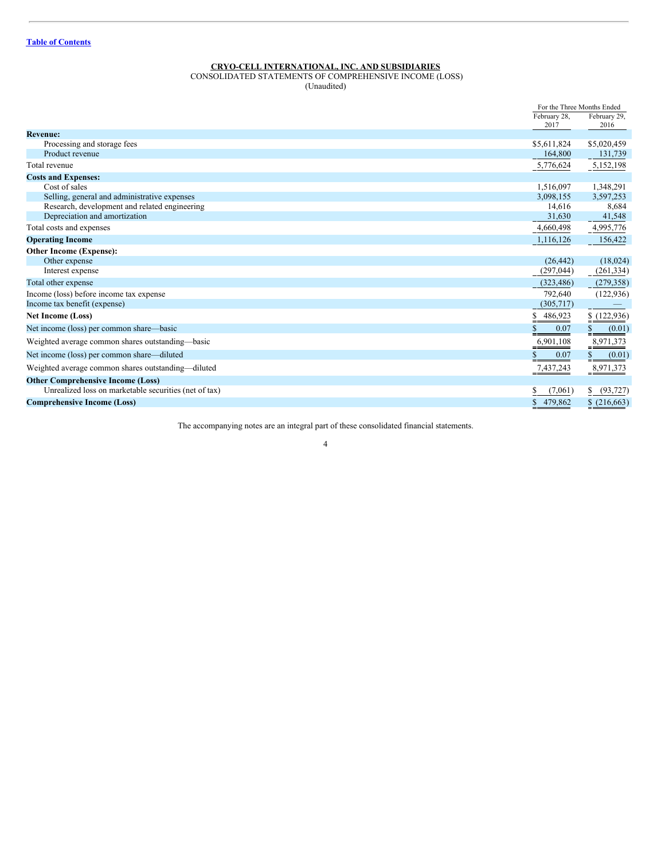<span id="page-3-0"></span>CONSOLIDATED STATEMENTS OF COMPREHENSIVE INCOME (LOSS)

(Unaudited)

|                                                       |               | For the Three Months Ended |
|-------------------------------------------------------|---------------|----------------------------|
|                                                       | February 28,  | February 29,               |
|                                                       | 2017          | 2016                       |
| <b>Revenue:</b>                                       |               |                            |
| Processing and storage fees                           | \$5,611,824   | \$5,020,459                |
| Product revenue                                       | 164,800       | 131,739                    |
| Total revenue                                         | 5,776,624     | 5,152,198                  |
| <b>Costs and Expenses:</b>                            |               |                            |
| Cost of sales                                         | 1,516,097     | 1,348,291                  |
| Selling, general and administrative expenses          | 3,098,155     | 3,597,253                  |
| Research, development and related engineering         | 14.616        | 8,684                      |
| Depreciation and amortization                         | 31,630        | 41,548                     |
| Total costs and expenses                              | 4,660,498     | 4,995,776                  |
| <b>Operating Income</b>                               | 1,116,126     | 156,422                    |
| <b>Other Income (Expense):</b>                        |               |                            |
| Other expense                                         | (26, 442)     | (18,024)                   |
| Interest expense                                      | (297, 044)    | (261, 334)                 |
| Total other expense                                   | (323, 486)    | (279, 358)                 |
| Income (loss) before income tax expense               | 792,640       | (122, 936)                 |
| Income tax benefit (expense)                          | (305,717)     |                            |
| <b>Net Income (Loss)</b>                              | 486,923<br>S  | (122, 936)                 |
| Net income (loss) per common share—basic              | \$<br>0.07    | (0.01)                     |
| Weighted average common shares outstanding—basic      | 6,901,108     | 8,971,373                  |
| Net income (loss) per common share—diluted            | S<br>0.07     | \$<br>(0.01)               |
| Weighted average common shares outstanding—diluted    | 7,437,243     | 8,971,373                  |
| <b>Other Comprehensive Income (Loss)</b>              |               |                            |
| Unrealized loss on marketable securities (net of tax) | \$<br>(7,061) | (93, 727)<br>S             |
| <b>Comprehensive Income (Loss)</b>                    | 479,862<br>\$ | \$(216,663)                |
|                                                       |               |                            |

The accompanying notes are an integral part of these consolidated financial statements.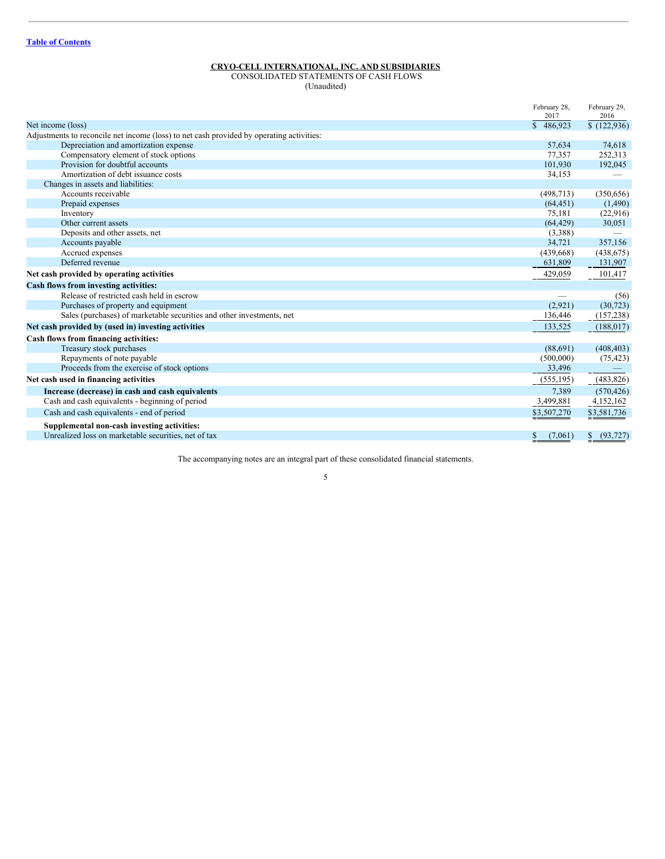<span id="page-4-0"></span>CONSOLIDATED STATEMENTS OF CASH FLOWS (Unaudited)

|                                                                                          | February 28,<br>2017 | February 29,<br>2016 |
|------------------------------------------------------------------------------------------|----------------------|----------------------|
| Net income (loss)                                                                        | \$486,923            | \$(122,936)          |
| Adjustments to reconcile net income (loss) to net cash provided by operating activities: |                      |                      |
| Depreciation and amortization expense                                                    | 57,634               | 74,618               |
| Compensatory element of stock options                                                    | 77,357               | 252,313              |
| Provision for doubtful accounts                                                          | 101,930              | 192,045              |
| Amortization of debt issuance costs                                                      | 34,153               |                      |
| Changes in assets and liabilities:                                                       |                      |                      |
| Accounts receivable                                                                      | (498, 713)           | (350, 656)           |
| Prepaid expenses                                                                         | (64, 451)            | (1,490)              |
| Inventory                                                                                | 75,181               | (22,916)             |
| Other current assets                                                                     | (64, 429)            | 30,051               |
| Deposits and other assets, net                                                           | (3,388)              |                      |
| Accounts payable                                                                         | 34,721               | 357,156              |
| Accrued expenses                                                                         | (439, 668)           | (438, 675)           |
| Deferred revenue                                                                         | 631,809              | 131,907              |
| Net cash provided by operating activities                                                | 429,059              | 101,417              |
| <b>Cash flows from investing activities:</b>                                             |                      |                      |
| Release of restricted cash held in escrow                                                |                      | (56)                 |
| Purchases of property and equipment                                                      | (2,921)              | (30, 723)            |
| Sales (purchases) of marketable securities and other investments, net                    | 136,446              | (157, 238)           |
| Net cash provided by (used in) investing activities                                      | 133,525              | (188, 017)           |
| Cash flows from financing activities:                                                    |                      |                      |
| Treasury stock purchases                                                                 | (88,691)             | (408, 403)           |
| Repayments of note payable                                                               | (500,000)            | (75, 423)            |
| Proceeds from the exercise of stock options                                              | 33,496               |                      |
| Net cash used in financing activities                                                    | (555, 195)           | (483, 826)           |
| Increase (decrease) in cash and cash equivalents                                         | 7,389                | (570, 426)           |
| Cash and cash equivalents - beginning of period                                          | 3,499,881            | 4,152,162            |
| Cash and cash equivalents - end of period                                                | \$3,507,270          | \$3,581,736          |
| Supplemental non-cash investing activities:                                              |                      |                      |
| Unrealized loss on marketable securities, net of tax                                     | \$<br>(7,061)        | $$^{(93,727)}$       |

The accompanying notes are an integral part of these consolidated financial statements.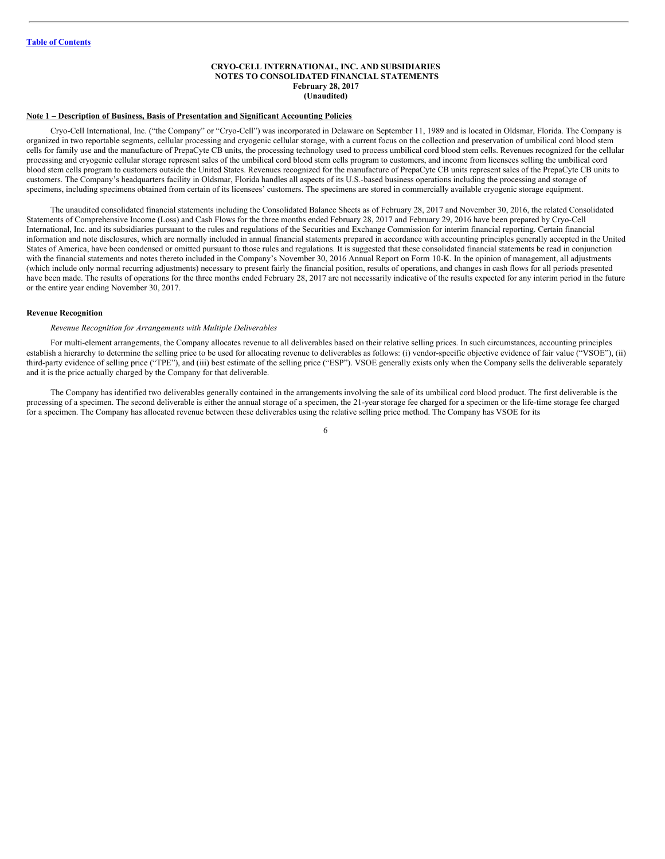## <span id="page-5-0"></span>**CRYO-CELL INTERNATIONAL, INC. AND SUBSIDIARIES NOTES TO CONSOLIDATED FINANCIAL STATEMENTS February 28, 2017 (Unaudited)**

#### **Note 1 – Description of Business, Basis of Presentation and Significant Accounting Policies**

Cryo-Cell International, Inc. ("the Company" or "Cryo-Cell") was incorporated in Delaware on September 11, 1989 and is located in Oldsmar, Florida. The Company is organized in two reportable segments, cellular processing and cryogenic cellular storage, with a current focus on the collection and preservation of umbilical cord blood stem cells for family use and the manufacture of PrepaCyte CB units, the processing technology used to process umbilical cord blood stem cells. Revenues recognized for the cellular processing and cryogenic cellular storage represent sales of the umbilical cord blood stem cells program to customers, and income from licensees selling the umbilical cord blood stem cells program to customers outside the United States. Revenues recognized for the manufacture of PrepaCyte CB units represent sales of the PrepaCyte CB units to customers. The Company's headquarters facility in Oldsmar, Florida handles all aspects of its U.S.-based business operations including the processing and storage of specimens, including specimens obtained from certain of its licensees' customers. The specimens are stored in commercially available cryogenic storage equipment.

The unaudited consolidated financial statements including the Consolidated Balance Sheets as of February 28, 2017 and November 30, 2016, the related Consolidated Statements of Comprehensive Income (Loss) and Cash Flows for the three months ended February 28, 2017 and February 29, 2016 have been prepared by Cryo-Cell International, Inc. and its subsidiaries pursuant to the rules and regulations of the Securities and Exchange Commission for interim financial reporting. Certain financial information and note disclosures, which are normally included in annual financial statements prepared in accordance with accounting principles generally accepted in the United States of America, have been condensed or omitted pursuant to those rules and regulations. It is suggested that these consolidated financial statements be read in conjunction with the financial statements and notes thereto included in the Company's November 30, 2016 Annual Report on Form 10-K. In the opinion of management, all adjustments (which include only normal recurring adjustments) necessary to present fairly the financial position, results of operations, and changes in cash flows for all periods presented have been made. The results of operations for the three months ended February 28, 2017 are not necessarily indicative of the results expected for any interim period in the future or the entire year ending November 30, 2017.

#### **Revenue Recognition**

#### *Revenue Recognition for Arrangements with Multiple Deliverables*

For multi-element arrangements, the Company allocates revenue to all deliverables based on their relative selling prices. In such circumstances, accounting principles establish a hierarchy to determine the selling price to be used for allocating revenue to deliverables as follows: (i) vendor-specific objective evidence of fair value ("VSOE"), (ii) third-party evidence of selling price ("TPE"), and (iii) best estimate of the selling price ("ESP"). VSOE generally exists only when the Company sells the deliverable separately and it is the price actually charged by the Company for that deliverable.

The Company has identified two deliverables generally contained in the arrangements involving the sale of its umbilical cord blood product. The first deliverable is the processing of a specimen. The second deliverable is either the annual storage of a specimen, the 21-year storage fee charged for a specimen or the life-time storage fee charged for a specimen. The Company has allocated revenue between these deliverables using the relative selling price method. The Company has VSOE for its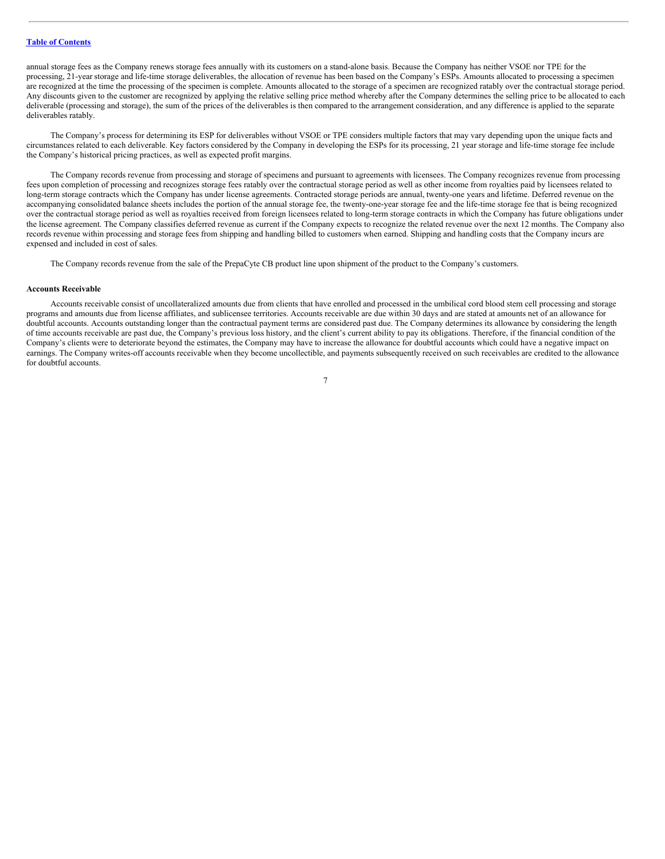annual storage fees as the Company renews storage fees annually with its customers on a stand-alone basis. Because the Company has neither VSOE nor TPE for the processing, 21-year storage and life-time storage deliverables, the allocation of revenue has been based on the Company's ESPs. Amounts allocated to processing a specimen are recognized at the time the processing of the specimen is complete. Amounts allocated to the storage of a specimen are recognized ratably over the contractual storage period. Any discounts given to the customer are recognized by applying the relative selling price method whereby after the Company determines the selling price to be allocated to each deliverable (processing and storage), the sum of the prices of the deliverables is then compared to the arrangement consideration, and any difference is applied to the separate deliverables ratably.

The Company's process for determining its ESP for deliverables without VSOE or TPE considers multiple factors that may vary depending upon the unique facts and circumstances related to each deliverable. Key factors considered by the Company in developing the ESPs for its processing, 21 year storage and life-time storage fee include the Company's historical pricing practices, as well as expected profit margins.

The Company records revenue from processing and storage of specimens and pursuant to agreements with licensees. The Company recognizes revenue from processing fees upon completion of processing and recognizes storage fees ratably over the contractual storage period as well as other income from royalties paid by licensees related to long-term storage contracts which the Company has under license agreements. Contracted storage periods are annual, twenty-one years and lifetime. Deferred revenue on the accompanying consolidated balance sheets includes the portion of the annual storage fee, the twenty-one-year storage fee and the life-time storage fee that is being recognized over the contractual storage period as well as royalties received from foreign licensees related to long-term storage contracts in which the Company has future obligations under the license agreement. The Company classifies deferred revenue as current if the Company expects to recognize the related revenue over the next 12 months. The Company also records revenue within processing and storage fees from shipping and handling billed to customers when earned. Shipping and handling costs that the Company incurs are expensed and included in cost of sales.

The Company records revenue from the sale of the PrepaCyte CB product line upon shipment of the product to the Company's customers.

#### **Accounts Receivable**

Accounts receivable consist of uncollateralized amounts due from clients that have enrolled and processed in the umbilical cord blood stem cell processing and storage programs and amounts due from license affiliates, and sublicensee territories. Accounts receivable are due within 30 days and are stated at amounts net of an allowance for doubtful accounts. Accounts outstanding longer than the contractual payment terms are considered past due. The Company determines its allowance by considering the length of time accounts receivable are past due, the Company's previous loss history, and the client's current ability to pay its obligations. Therefore, if the financial condition of the Company's clients were to deteriorate beyond the estimates, the Company may have to increase the allowance for doubtful accounts which could have a negative impact on earnings. The Company writes-off accounts receivable when they become uncollectible, and payments subsequently received on such receivables are credited to the allowance for doubtful accounts.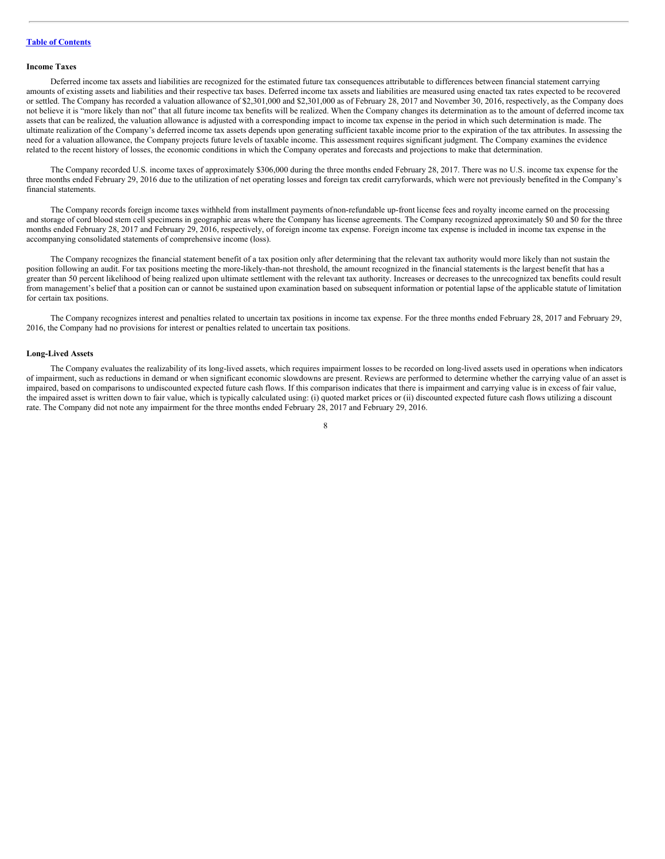#### **Income Taxes**

Deferred income tax assets and liabilities are recognized for the estimated future tax consequences attributable to differences between financial statement carrying amounts of existing assets and liabilities and their respective tax bases. Deferred income tax assets and liabilities are measured using enacted tax rates expected to be recovered or settled. The Company has recorded a valuation allowance of \$2,301,000 and \$2,301,000 as of February 28, 2017 and November 30, 2016, respectively, as the Company does not believe it is "more likely than not" that all future income tax benefits will be realized. When the Company changes its determination as to the amount of deferred income tax assets that can be realized, the valuation allowance is adjusted with a corresponding impact to income tax expense in the period in which such determination is made. The ultimate realization of the Company's deferred income tax assets depends upon generating sufficient taxable income prior to the expiration of the tax attributes. In assessing the need for a valuation allowance, the Company projects future levels of taxable income. This assessment requires significant judgment. The Company examines the evidence related to the recent history of losses, the economic conditions in which the Company operates and forecasts and projections to make that determination.

The Company recorded U.S. income taxes of approximately \$306,000 during the three months ended February 28, 2017. There was no U.S. income tax expense for the three months ended February 29, 2016 due to the utilization of net operating losses and foreign tax credit carryforwards, which were not previously benefited in the Company's financial statements.

The Company records foreign income taxes withheld from installment payments ofnon-refundable up-front license fees and royalty income earned on the processing and storage of cord blood stem cell specimens in geographic areas where the Company has license agreements. The Company recognized approximately \$0 and \$0 for the three months ended February 28, 2017 and February 29, 2016, respectively, of foreign income tax expense. Foreign income tax expense is included in income tax expense in the accompanying consolidated statements of comprehensive income (loss).

The Company recognizes the financial statement benefit of a tax position only after determining that the relevant tax authority would more likely than not sustain the position following an audit. For tax positions meeting the more-likely-than-not threshold, the amount recognized in the financial statements is the largest benefit that has a greater than 50 percent likelihood of being realized upon ultimate settlement with the relevant tax authority. Increases or decreases to the unrecognized tax benefits could result from management's belief that a position can or cannot be sustained upon examination based on subsequent information or potential lapse of the applicable statute of limitation for certain tax positions.

The Company recognizes interest and penalties related to uncertain tax positions in income tax expense. For the three months ended February 28, 2017 and February 29, 2016, the Company had no provisions for interest or penalties related to uncertain tax positions.

### **Long-Lived Assets**

The Company evaluates the realizability of its long-lived assets, which requires impairment losses to be recorded on long-lived assets used in operations when indicators of impairment, such as reductions in demand or when significant economic slowdowns are present. Reviews are performed to determine whether the carrying value of an asset is impaired, based on comparisons to undiscounted expected future cash flows. If this comparison indicates that there is impairment and carrying value is in excess of fair value, the impaired asset is written down to fair value, which is typically calculated using: (i) quoted market prices or (ii) discounted expected future cash flows utilizing a discount rate. The Company did not note any impairment for the three months ended February 28, 2017 and February 29, 2016.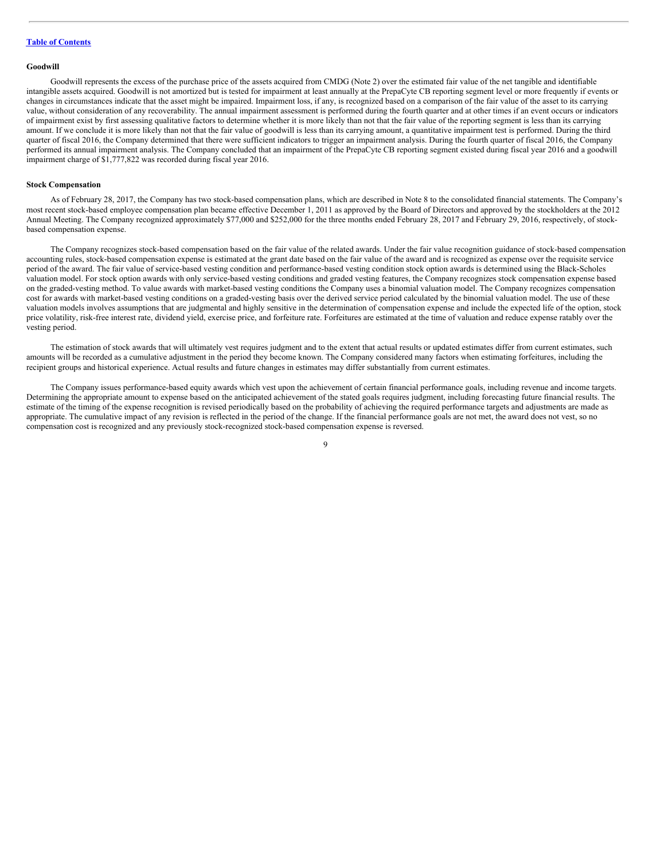#### **Goodwill**

Goodwill represents the excess of the purchase price of the assets acquired from CMDG (Note 2) over the estimated fair value of the net tangible and identifiable intangible assets acquired. Goodwill is not amortized but is tested for impairment at least annually at the PrepaCyte CB reporting segment level or more frequently if events or changes in circumstances indicate that the asset might be impaired. Impairment loss, if any, is recognized based on a comparison of the fair value of the asset to its carrying value, without consideration of any recoverability. The annual impairment assessment is performed during the fourth quarter and at other times if an event occurs or indicators of impairment exist by first assessing qualitative factors to determine whether it is more likely than not that the fair value of the reporting segment is less than its carrying amount. If we conclude it is more likely than not that the fair value of goodwill is less than its carrying amount, a quantitative impairment test is performed. During the third quarter of fiscal 2016, the Company determined that there were sufficient indicators to trigger an impairment analysis. During the fourth quarter of fiscal 2016, the Company performed its annual impairment analysis. The Company concluded that an impairment of the PrepaCyte CB reporting segment existed during fiscal year 2016 and a goodwill impairment charge of \$1,777,822 was recorded during fiscal year 2016.

#### **Stock Compensation**

As of February 28, 2017, the Company has two stock-based compensation plans, which are described in Note 8 to the consolidated financial statements. The Company's most recent stock-based employee compensation plan became effective December 1, 2011 as approved by the Board of Directors and approved by the stockholders at the 2012 Annual Meeting. The Company recognized approximately \$77,000 and \$252,000 for the three months ended February 28, 2017 and February 29, 2016, respectively, of stockbased compensation expense.

The Company recognizes stock-based compensation based on the fair value of the related awards. Under the fair value recognition guidance of stock-based compensation accounting rules, stock-based compensation expense is estimated at the grant date based on the fair value of the award and is recognized as expense over the requisite service period of the award. The fair value of service-based vesting condition and performance-based vesting condition stock option awards is determined using the Black-Scholes valuation model. For stock option awards with only service-based vesting conditions and graded vesting features, the Company recognizes stock compensation expense based on the graded-vesting method. To value awards with market-based vesting conditions the Company uses a binomial valuation model. The Company recognizes compensation cost for awards with market-based vesting conditions on a graded-vesting basis over the derived service period calculated by the binomial valuation model. The use of these valuation models involves assumptions that are judgmental and highly sensitive in the determination of compensation expense and include the expected life of the option, stock price volatility, risk-free interest rate, dividend yield, exercise price, and forfeiture rate. Forfeitures are estimated at the time of valuation and reduce expense ratably over the vesting period.

The estimation of stock awards that will ultimately vest requires judgment and to the extent that actual results or updated estimates differ from current estimates, such amounts will be recorded as a cumulative adjustment in the period they become known. The Company considered many factors when estimating forfeitures, including the recipient groups and historical experience. Actual results and future changes in estimates may differ substantially from current estimates.

The Company issues performance-based equity awards which vest upon the achievement of certain financial performance goals, including revenue and income targets. Determining the appropriate amount to expense based on the anticipated achievement of the stated goals requires judgment, including forecasting future financial results. The estimate of the timing of the expense recognition is revised periodically based on the probability of achieving the required performance targets and adjustments are made as appropriate. The cumulative impact of any revision is reflected in the period of the change. If the financial performance goals are not met, the award does not vest, so no compensation cost is recognized and any previously stock-recognized stock-based compensation expense is reversed.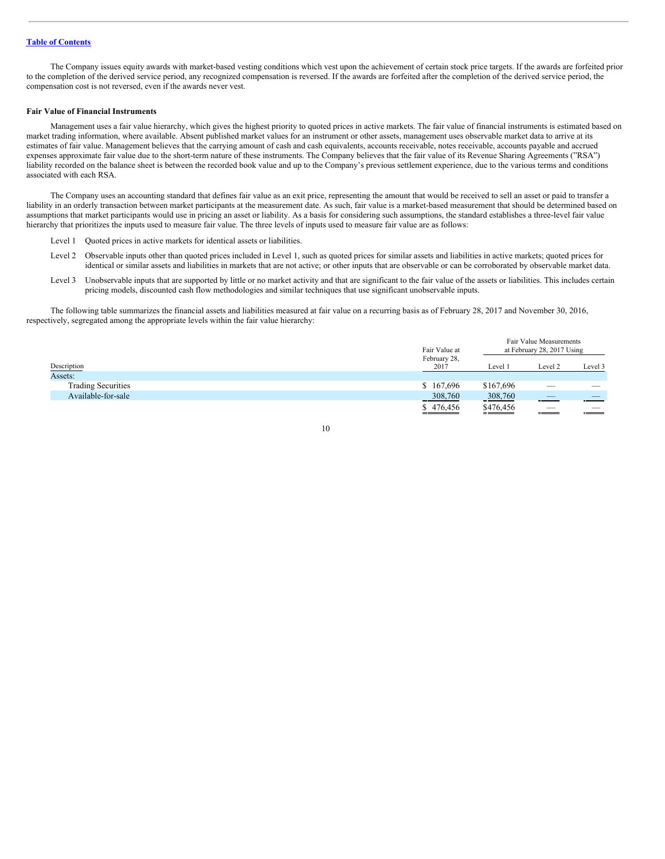The Company issues equity awards with market-based vesting conditions which vest upon the achievement of certain stock price targets. If the awards are forfeited prior to the completion of the derived service period, any recognized compensation is reversed. If the awards are forfeited after the completion of the derived service period, the compensation cost is not reversed, even if the awards never vest.

#### **Fair Value of Financial Instruments**

Management uses a fair value hierarchy, which gives the highest priority to quoted prices in active markets. The fair value of financial instruments is estimated based on market trading information, where available. Absent published market values for an instrument or other assets, management uses observable market data to arrive at its estimates of fair value. Management believes that the carrying amount of cash and cash equivalents, accounts receivable, notes receivable, accounts payable and accrued expenses approximate fair value due to the short-term nature of these instruments. The Company believes that the fair value of its Revenue Sharing Agreements ("RSA") liability recorded on the balance sheet is between the recorded book value and up to the Company's previous settlement experience, due to the various terms and conditions associated with each RSA.

The Company uses an accounting standard that defines fair value as an exit price, representing the amount that would be received to sell an asset or paid to transfer a liability in an orderly transaction between market participants at the measurement date. As such, fair value is a market-based measurement that should be determined based on assumptions that market participants would use in pricing an asset or liability. As a basis for considering such assumptions, the standard establishes a three-level fair value hierarchy that prioritizes the inputs used to measure fair value. The three levels of inputs used to measure fair value are as follows:

- Level 1 Quoted prices in active markets for identical assets or liabilities.
- Level 2 Observable inputs other than quoted prices included in Level 1, such as quoted prices for similar assets and liabilities in active markets; quoted prices for identical or similar assets and liabilities in markets that are not active; or other inputs that are observable or can be corroborated by observable market data.
- Level 3 Unobservable inputs that are supported by little or no market activity and that are significant to the fair value of the assets or liabilities. This includes certain pricing models, discounted cash flow methodologies and similar techniques that use significant unobservable inputs.

The following table summarizes the financial assets and liabilities measured at fair value on a recurring basis as of February 28, 2017 and November 30, 2016, respectively, segregated among the appropriate levels within the fair value hierarchy:

|                           | Fair Value at        | Fair Value Measurements<br>at February 28, 2017 Using |         |         |  |
|---------------------------|----------------------|-------------------------------------------------------|---------|---------|--|
| Description               | February 28,<br>2017 | Level 1                                               | Level 2 | Level 3 |  |
| Assets:                   |                      |                                                       |         |         |  |
| <b>Trading Securities</b> | \$167,696            | \$167,696                                             | _       |         |  |
| Available-for-sale        | 308,760              | 308,760                                               |         |         |  |
|                           | \$476,456            | \$476,456                                             |         |         |  |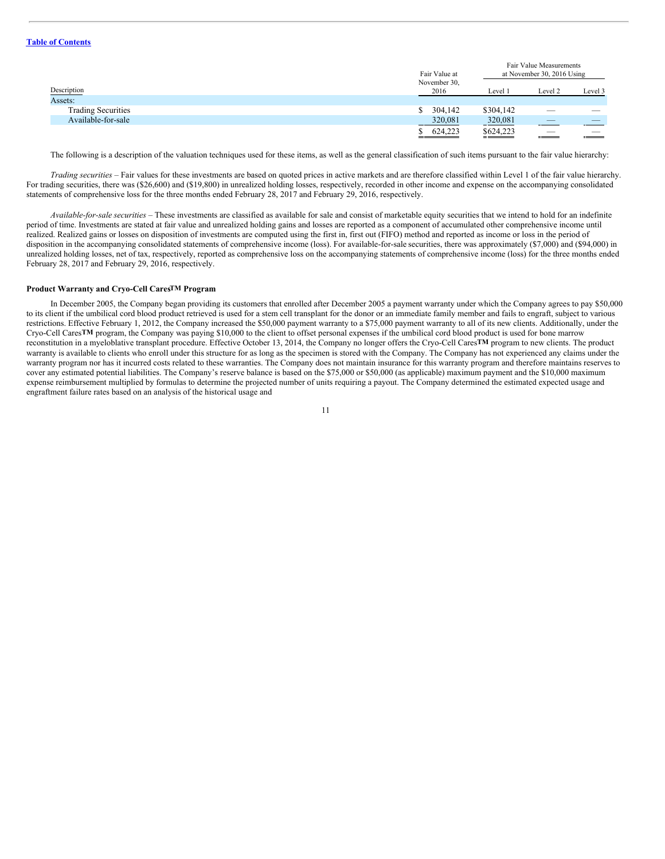|                           | Fair Value at        | Fair Value Measurements<br>at November 30, 2016 Using |                          |         |  |
|---------------------------|----------------------|-------------------------------------------------------|--------------------------|---------|--|
| Description               | November 30,<br>2016 | Level 1                                               | Level 2                  | Level 3 |  |
| Assets:                   |                      |                                                       |                          |         |  |
| <b>Trading Securities</b> | \$304,142            | \$304,142                                             |                          |         |  |
| Available-for-sale        | 320,081              | 320,081                                               |                          |         |  |
|                           | 624,223<br>______    | \$624,223                                             | $\overline{\phantom{a}}$ |         |  |

The following is a description of the valuation techniques used for these items, as well as the general classification of such items pursuant to the fair value hierarchy:

*Trading securities –* Fair values for these investments are based on quoted prices in active markets and are therefore classified within Level 1 of the fair value hierarchy. For trading securities, there was (\$26,600) and (\$19,800) in unrealized holding losses, respectively, recorded in other income and expense on the accompanying consolidated statements of comprehensive loss for the three months ended February 28, 2017 and February 29, 2016, respectively.

*Available-for-sale securities –* These investments are classified as available for sale and consist of marketable equity securities that we intend to hold for an indefinite period of time. Investments are stated at fair value and unrealized holding gains and losses are reported as a component of accumulated other comprehensive income until realized. Realized gains or losses on disposition of investments are computed using the first in, first out (FIFO) method and reported as income or loss in the period of disposition in the accompanying consolidated statements of comprehensive income (loss). For available-for-sale securities, there was approximately (\$7,000) and (\$94,000) in unrealized holding losses, net of tax, respectively, reported as comprehensive loss on the accompanying statements of comprehensive income (loss) for the three months ended February 28, 2017 and February 29, 2016, respectively.

## **Product Warranty and Cryo-Cell CaresTM Program**

In December 2005, the Company began providing its customers that enrolled after December 2005 a payment warranty under which the Company agrees to pay \$50,000 to its client if the umbilical cord blood product retrieved is used for a stem cell transplant for the donor or an immediate family member and fails to engraft, subject to various restrictions. Effective February 1, 2012, the Company increased the \$50,000 payment warranty to a \$75,000 payment warranty to all of its new clients. Additionally, under the Cryo-Cell Cares**TM** program, the Company was paying \$10,000 to the client to offset personal expenses if the umbilical cord blood product is used for bone marrow reconstitution in a myeloblative transplant procedure. Effective October 13, 2014, the Company no longer offers the Cryo-Cell Cares**TM** program to new clients. The product warranty is available to clients who enroll under this structure for as long as the specimen is stored with the Company. The Company has not experienced any claims under the warranty program nor has it incurred costs related to these warranties. The Company does not maintain insurance for this warranty program and therefore maintains reserves to cover any estimated potential liabilities. The Company's reserve balance is based on the \$75,000 or \$50,000 (as applicable) maximum payment and the \$10,000 maximum expense reimbursement multiplied by formulas to determine the projected number of units requiring a payout. The Company determined the estimated expected usage and engraftment failure rates based on an analysis of the historical usage and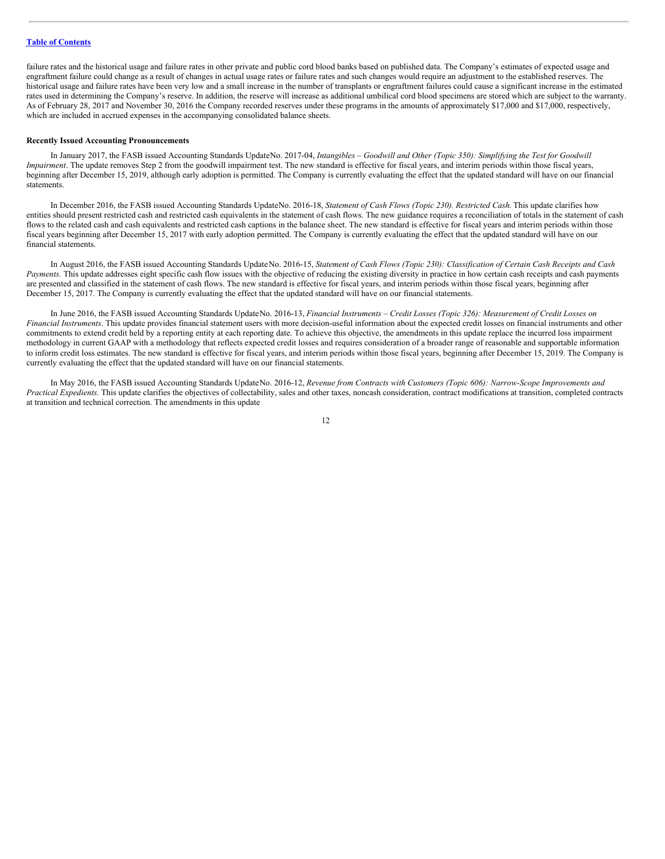failure rates and the historical usage and failure rates in other private and public cord blood banks based on published data. The Company's estimates of expected usage and engraftment failure could change as a result of changes in actual usage rates or failure rates and such changes would require an adjustment to the established reserves. The historical usage and failure rates have been very low and a small increase in the number of transplants or engraftment failures could cause a significant increase in the estimated rates used in determining the Company's reserve. In addition, the reserve will increase as additional umbilical cord blood specimens are stored which are subject to the warranty. As of February 28, 2017 and November 30, 2016 the Company recorded reserves under these programs in the amounts of approximately \$17,000 and \$17,000, respectively, which are included in accrued expenses in the accompanying consolidated balance sheets.

#### **Recently Issued Accounting Pronouncements**

In January 2017, the FASB issued Accounting Standards UpdateNo. 2017-04, Intangibles - Goodwill and Other (Topic 350): Simplifying the Test for Goodwill *Impairment*. The update removes Step 2 from the goodwill impairment test. The new standard is effective for fiscal years, and interim periods within those fiscal years, beginning after December 15, 2019, although early adoption is permitted. The Company is currently evaluating the effect that the updated standard will have on our financial statements.

In December 2016, the FASB issued Accounting Standards UpdateNo. 2016-18, *Statement of Cash Flows (Topic 230). Restricted Cash*. This update clarifies how entities should present restricted cash and restricted cash equivalents in the statement of cash flows. The new guidance requires a reconciliation of totals in the statement of cash flows to the related cash and cash equivalents and restricted cash captions in the balance sheet. The new standard is effective for fiscal years and interim periods within those fiscal years beginning after December 15, 2017 with early adoption permitted. The Company is currently evaluating the effect that the updated standard will have on our financial statements.

In August 2016, the FASB issued Accounting Standards Update No. 2016-15, Statement of Cash Flows (Topic 230): Classification of Certain Cash Receipts and Cash *Payments.* This update addresses eight specific cash flow issues with the objective of reducing the existing diversity in practice in how certain cash receipts and cash payments are presented and classified in the statement of cash flows. The new standard is effective for fiscal years, and interim periods within those fiscal years, beginning after December 15, 2017. The Company is currently evaluating the effect that the updated standard will have on our financial statements.

In June 2016, the FASB issued Accounting Standards UpdateNo. 2016-13, Financial Instruments - Credit Losses (Topic 326): Measurement of Credit Losses on *Financial Instruments*. This update provides financial statement users with more decision-useful information about the expected credit losses on financial instruments and other commitments to extend credit held by a reporting entity at each reporting date. To achieve this objective, the amendments in this update replace the incurred loss impairment methodology in current GAAP with a methodology that reflects expected credit losses and requires consideration of a broader range of reasonable and supportable information to inform credit loss estimates. The new standard is effective for fiscal years, and interim periods within those fiscal years, beginning after December 15, 2019. The Company is currently evaluating the effect that the updated standard will have on our financial statements.

In May 2016, the FASB issued Accounting Standards UpdateNo. 2016-12, *Revenue from Contracts with Customers (Topic 606): Narrow-Scope Improvements and Practical Expedients*. This update clarifies the objectives of collectability, sales and other taxes, noncash consideration, contract modifications at transition, completed contracts at transition and technical correction. The amendments in this update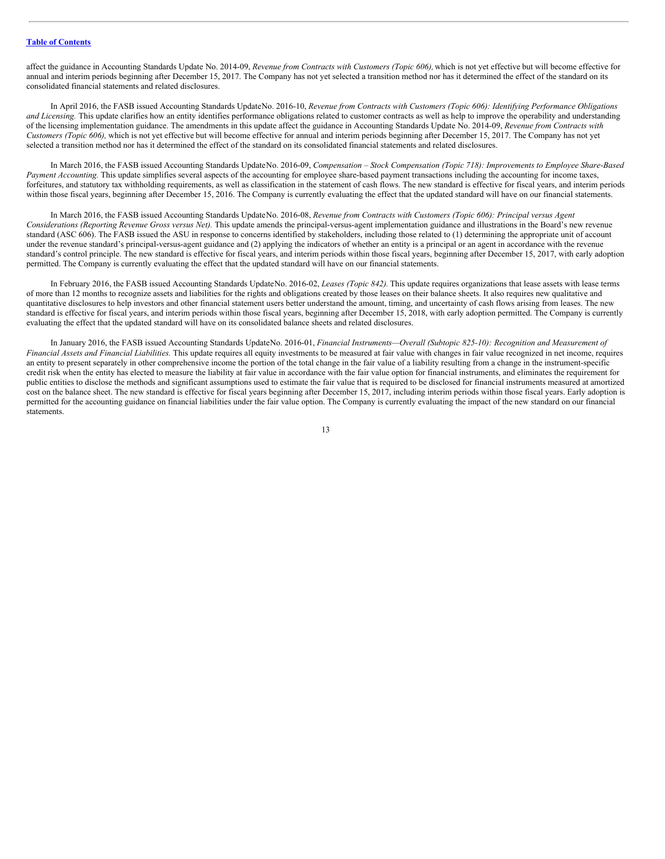affect the guidance in Accounting Standards Update No. 2014-09, *Revenue from Contracts with Customers (Topic 606),*which is not yet effective but will become effective for annual and interim periods beginning after December 15, 2017. The Company has not yet selected a transition method nor has it determined the effect of the standard on its consolidated financial statements and related disclosures.

In April 2016, the FASB issued Accounting Standards UpdateNo. 2016-10, Revenue from Contracts with Customers (Topic 606): Identifying Performance Obligations *and Licensing*. This update clarifies how an entity identifies performance obligations related to customer contracts as well as help to improve the operability and understanding of the licensing implementation guidance. The amendments in this update affect the guidance in Accounting Standards Update No. 2014-09, *Revenue from Contracts with Customers (Topic 606),* which is not yet effective but will become effective for annual and interim periods beginning after December 15, 2017. The Company has not yet selected a transition method nor has it determined the effect of the standard on its consolidated financial statements and related disclosures.

In March 2016, the FASB issued Accounting Standards UpdateNo. 2016-09, *Compensation – Stock Compensation (Topic 718): Improvements to Employee Share-Based Payment Accounting.* This update simplifies several aspects of the accounting for employee share-based payment transactions including the accounting for income taxes, forfeitures, and statutory tax withholding requirements, as well as classification in the statement of cash flows. The new standard is effective for fiscal years, and interim periods within those fiscal years, beginning after December 15, 2016. The Company is currently evaluating the effect that the updated standard will have on our financial statements.

In March 2016, the FASB issued Accounting Standards UpdateNo. 2016-08, *Revenue from Contracts with Customers (Topic 606): Principal versus Agent Considerations (Reporting Revenue Gross versus Net).* This update amends the principal-versus-agent implementation guidance and illustrations in the Board's new revenue standard (ASC 606). The FASB issued the ASU in response to concerns identified by stakeholders, including those related to (1) determining the appropriate unit of account under the revenue standard's principal-versus-agent guidance and (2) applying the indicators of whether an entity is a principal or an agent in accordance with the revenue standard's control principle. The new standard is effective for fiscal years, and interim periods within those fiscal years, beginning after December 15, 2017, with early adoption permitted. The Company is currently evaluating the effect that the updated standard will have on our financial statements.

In February 2016, the FASB issued Accounting Standards UpdateNo. 2016-02, *Leases (Topic 842)*. This update requires organizations that lease assets with lease terms of more than 12 months to recognize assets and liabilities for the rights and obligations created by those leases on their balance sheets. It also requires new qualitative and quantitative disclosures to help investors and other financial statement users better understand the amount, timing, and uncertainty of cash flows arising from leases. The new standard is effective for fiscal years, and interim periods within those fiscal years, beginning after December 15, 2018, with early adoption permitted. The Company is currently evaluating the effect that the updated standard will have on its consolidated balance sheets and related disclosures.

In January 2016, the FASB issued Accounting Standards UpdateNo. 2016-01, *Financial Instruments—Overall (Subtopic 825-10): Recognition and Measurement of Financial Assets and Financial Liabilities.* This update requires all equity investments to be measured at fair value with changes in fair value recognized in net income, requires an entity to present separately in other comprehensive income the portion of the total change in the fair value of a liability resulting from a change in the instrument-specific credit risk when the entity has elected to measure the liability at fair value in accordance with the fair value option for financial instruments, and eliminates the requirement for public entities to disclose the methods and significant assumptions used to estimate the fair value that is required to be disclosed for financial instruments measured at amortized cost on the balance sheet. The new standard is effective for fiscal years beginning after December 15, 2017, including interim periods within those fiscal years. Early adoption is permitted for the accounting guidance on financial liabilities under the fair value option. The Company is currently evaluating the impact of the new standard on our financial statements.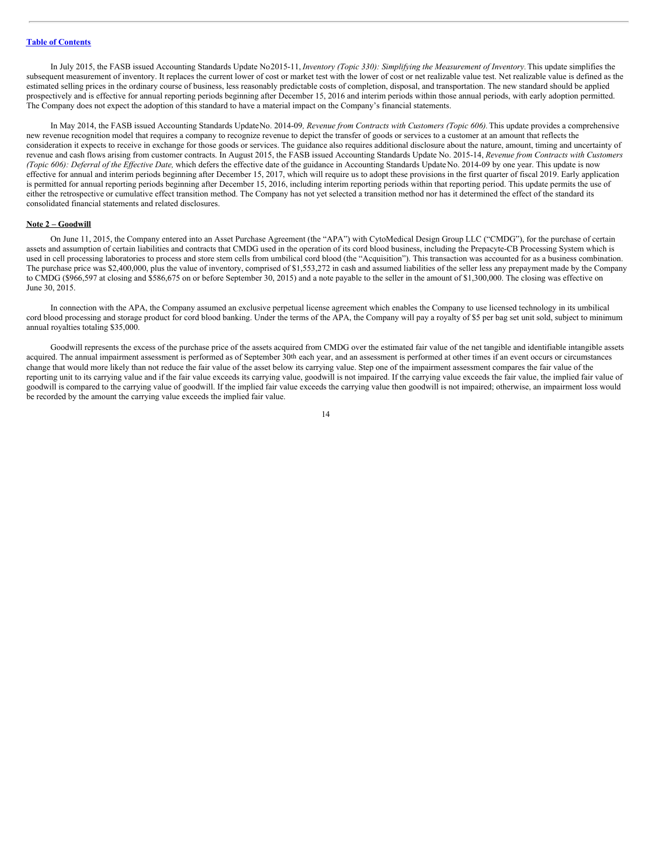In July 2015, the FASB issued Accounting Standards Update No2015-11, *Inventory (Topic 330): Simplifying the Measurement of Inventory.*This update simplifies the subsequent measurement of inventory. It replaces the current lower of cost or market test with the lower of cost or net realizable value test. Net realizable value is defined as the estimated selling prices in the ordinary course of business, less reasonably predictable costs of completion, disposal, and transportation. The new standard should be applied prospectively and is effective for annual reporting periods beginning after December 15, 2016 and interim periods within those annual periods, with early adoption permitted. The Company does not expect the adoption of this standard to have a material impact on the Company's financial statements.

In May 2014, the FASB issued Accounting Standards UpdateNo. 2014-09*, Revenue from Contracts with Customers (Topic 606).*This update provides a comprehensive new revenue recognition model that requires a company to recognize revenue to depict the transfer of goods or services to a customer at an amount that reflects the consideration it expects to receive in exchange for those goods or services. The guidance also requires additional disclosure about the nature, amount, timing and uncertainty of revenue and cash flows arising from customer contracts. In August 2015, the FASB issued Accounting Standards Update No. 2015-14, *Revenue from Contracts with Customers (Topic 606): Deferral of the Effective Date, which defers the effective date of the guidance in Accounting Standards UpdateNo. 2014-09 by one year. This update is now* effective for annual and interim periods beginning after December 15, 2017, which will require us to adopt these provisions in the first quarter of fiscal 2019. Early application is permitted for annual reporting periods beginning after December 15, 2016, including interim reporting periods within that reporting period. This update permits the use of either the retrospective or cumulative effect transition method. The Company has not yet selected a transition method nor has it determined the effect of the standard its consolidated financial statements and related disclosures.

#### **Note 2 – Goodwill**

On June 11, 2015, the Company entered into an Asset Purchase Agreement (the "APA") with CytoMedical Design Group LLC ("CMDG"), for the purchase of certain assets and assumption of certain liabilities and contracts that CMDG used in the operation of its cord blood business, including the Prepacyte-CB Processing System which is used in cell processing laboratories to process and store stem cells from umbilical cord blood (the "Acquisition"). This transaction was accounted for as a business combination. The purchase price was \$2,400,000, plus the value of inventory, comprised of \$1,553,272 in cash and assumed liabilities of the seller less any prepayment made by the Company to CMDG (\$966,597 at closing and \$586,675 on or before September 30, 2015) and a note payable to the seller in the amount of \$1,300,000. The closing was effective on June 30, 2015.

In connection with the APA, the Company assumed an exclusive perpetual license agreement which enables the Company to use licensed technology in its umbilical cord blood processing and storage product for cord blood banking. Under the terms of the APA, the Company will pay a royalty of \$5 per bag set unit sold, subject to minimum annual royalties totaling \$35,000.

Goodwill represents the excess of the purchase price of the assets acquired from CMDG over the estimated fair value of the net tangible and identifiable intangible assets acquired. The annual impairment assessment is performed as of September 30<sup>th</sup> each year, and an assessment is performed at other times if an event occurs or circumstances change that would more likely than not reduce the fair value of the asset below its carrying value. Step one of the impairment assessment compares the fair value of the reporting unit to its carrying value and if the fair value exceeds its carrying value, goodwill is not impaired. If the carrying value exceeds the fair value, the implied fair value of goodwill is compared to the carrying value of goodwill. If the implied fair value exceeds the carrying value then goodwill is not impaired; otherwise, an impairment loss would be recorded by the amount the carrying value exceeds the implied fair value.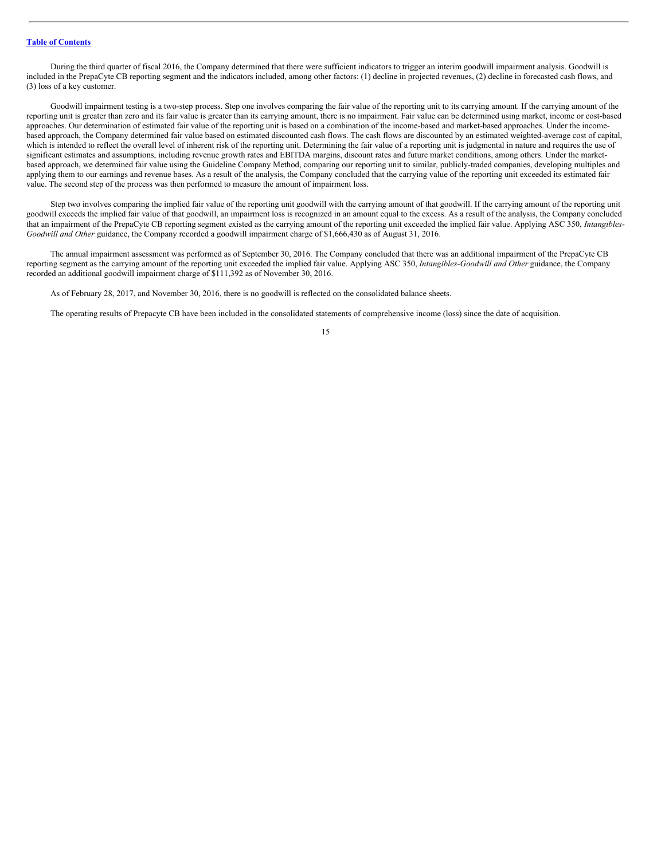During the third quarter of fiscal 2016, the Company determined that there were sufficient indicators to trigger an interim goodwill impairment analysis. Goodwill is included in the PrepaCyte CB reporting segment and the indicators included, among other factors: (1) decline in projected revenues, (2) decline in forecasted cash flows, and (3) loss of a key customer.

Goodwill impairment testing is a two-step process. Step one involves comparing the fair value of the reporting unit to its carrying amount. If the carrying amount of the reporting unit is greater than zero and its fair value is greater than its carrying amount, there is no impairment. Fair value can be determined using market, income or cost-based approaches. Our determination of estimated fair value of the reporting unit is based on a combination of the income-based and market-based approaches. Under the incomebased approach, the Company determined fair value based on estimated discounted cash flows. The cash flows are discounted by an estimated weighted-average cost of capital, which is intended to reflect the overall level of inherent risk of the reporting unit. Determining the fair value of a reporting unit is judgmental in nature and requires the use of significant estimates and assumptions, including revenue growth rates and EBITDA margins, discount rates and future market conditions, among others. Under the marketbased approach, we determined fair value using the Guideline Company Method, comparing our reporting unit to similar, publicly-traded companies, developing multiples and applying them to our earnings and revenue bases. As a result of the analysis, the Company concluded that the carrying value of the reporting unit exceeded its estimated fair value. The second step of the process was then performed to measure the amount of impairment loss.

Step two involves comparing the implied fair value of the reporting unit goodwill with the carrying amount of that goodwill. If the carrying amount of the reporting unit goodwill exceeds the implied fair value of that goodwill, an impairment loss is recognized in an amount equal to the excess. As a result of the analysis, the Company concluded that an impairment of the PrepaCyte CB reporting segment existed as the carrying amount of the reporting unit exceeded the implied fair value. Applying ASC 350, *Intangibles-Goodwill and Other* guidance, the Company recorded a goodwill impairment charge of \$1,666,430 as of August 31, 2016.

The annual impairment assessment was performed as of September 30, 2016. The Company concluded that there was an additional impairment of the PrepaCyte CB reporting segment as the carrying amount of the reporting unit exceeded the implied fair value. Applying ASC 350, *Intangibles-Goodwill and Other* guidance, the Company recorded an additional goodwill impairment charge of \$111,392 as of November 30, 2016.

As of February 28, 2017, and November 30, 2016, there is no goodwill is reflected on the consolidated balance sheets.

The operating results of Prepacyte CB have been included in the consolidated statements of comprehensive income (loss) since the date of acquisition.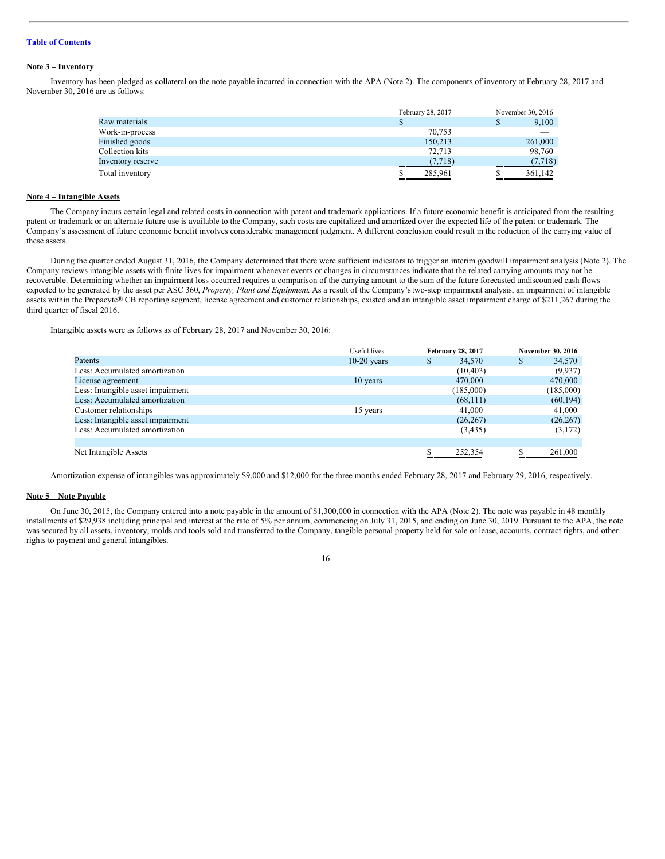## **Note 3 – Inventory**

Inventory has been pledged as collateral on the note payable incurred in connection with the APA (Note 2). The components of inventory at February 28, 2017 and November 30, 2016 are as follows:

|                   | February 28, 2017 | November 30, 2016        |
|-------------------|-------------------|--------------------------|
| Raw materials     | _                 | 9,100                    |
| Work-in-process   | 70.753            | $\overline{\phantom{a}}$ |
| Finished goods    | 150,213           | 261,000                  |
| Collection kits   | 72.713            | 98,760                   |
| Inventory reserve | (7, 718)          | (7,718)                  |
| Total inventory   | 285,961           | 361,142                  |

## **Note 4 – Intangible Assets**

The Company incurs certain legal and related costs in connection with patent and trademark applications. If a future economic benefit is anticipated from the resulting patent or trademark or an alternate future use is available to the Company, such costs are capitalized and amortized over the expected life of the patent or trademark. The Company's assessment of future economic benefit involves considerable management judgment. A different conclusion could result in the reduction of the carrying value of these assets.

During the quarter ended August 31, 2016, the Company determined that there were sufficient indicators to trigger an interim goodwill impairment analysis (Note 2). The Company reviews intangible assets with finite lives for impairment whenever events or changes in circumstances indicate that the related carrying amounts may not be recoverable. Determining whether an impairment loss occurred requires a comparison of the carrying amount to the sum of the future forecasted undiscounted cash flows expected to be generated by the asset per ASC 360, *Property, Plant and Equipment*. As a result of the Company'stwo-step impairment analysis, an impairment of intangible assets within the Prepacyte® CB reporting segment, license agreement and customer relationships, existed and an intangible asset impairment charge of \$211,267 during the third quarter of fiscal 2016.

Intangible assets were as follows as of February 28, 2017 and November 30, 2016:

|                                   | Useful lives  | <b>February 28, 2017</b> | <b>November 30, 2016</b> |
|-----------------------------------|---------------|--------------------------|--------------------------|
| Patents                           | $10-20$ years | 34,570<br>\$             | 34,570                   |
| Less: Accumulated amortization    |               | (10, 403)                | (9,937)                  |
| License agreement                 | 10 years      | 470,000                  | 470,000                  |
| Less: Intangible asset impairment |               | (185,000)                | (185,000)                |
| Less: Accumulated amortization    |               | (68, 111)                | (60, 194)                |
| Customer relationships            | 15 years      | 41,000                   | 41,000                   |
| Less: Intangible asset impairment |               | (26, 267)                | (26, 267)                |
| Less: Accumulated amortization    |               | (3, 435)                 | (3,172)                  |
|                                   |               |                          |                          |
| Net Intangible Assets             |               | ¢<br>252,354             | 261,000                  |

Amortization expense of intangibles was approximately \$9,000 and \$12,000 for the three months ended February 28, 2017 and February 29, 2016, respectively.

## **Note 5 – Note Payable**

On June 30, 2015, the Company entered into a note payable in the amount of \$1,300,000 in connection with the APA (Note 2). The note was payable in 48 monthly installments of \$29,938 including principal and interest at the rate of 5% per annum, commencing on July 31, 2015, and ending on June 30, 2019. Pursuant to the APA, the note was secured by all assets, inventory, molds and tools sold and transferred to the Company, tangible personal property held for sale or lease, accounts, contract rights, and other rights to payment and general intangibles.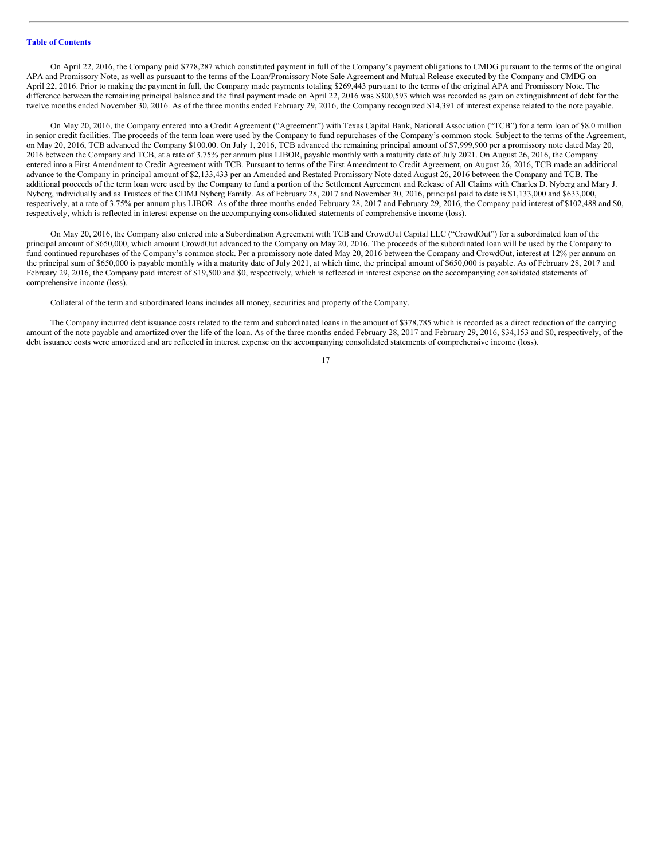On April 22, 2016, the Company paid \$778,287 which constituted payment in full of the Company's payment obligations to CMDG pursuant to the terms of the original APA and Promissory Note, as well as pursuant to the terms of the Loan/Promissory Note Sale Agreement and Mutual Release executed by the Company and CMDG on April 22, 2016. Prior to making the payment in full, the Company made payments totaling \$269,443 pursuant to the terms of the original APA and Promissory Note. The difference between the remaining principal balance and the final payment made on April 22, 2016 was \$300,593 which was recorded as gain on extinguishment of debt for the twelve months ended November 30, 2016. As of the three months ended February 29, 2016, the Company recognized \$14,391 of interest expense related to the note payable.

On May 20, 2016, the Company entered into a Credit Agreement ("Agreement") with Texas Capital Bank, National Association ("TCB") for a term loan of \$8.0 million in senior credit facilities. The proceeds of the term loan were used by the Company to fund repurchases of the Company's common stock. Subject to the terms of the Agreement, on May 20, 2016, TCB advanced the Company \$100.00. On July 1, 2016, TCB advanced the remaining principal amount of \$7,999,900 per a promissory note dated May 20, 2016 between the Company and TCB, at a rate of 3.75% per annum plus LIBOR, payable monthly with a maturity date of July 2021. On August 26, 2016, the Company entered into a First Amendment to Credit Agreement with TCB. Pursuant to terms of the First Amendment to Credit Agreement, on August 26, 2016, TCB made an additional advance to the Company in principal amount of \$2,133,433 per an Amended and Restated Promissory Note dated August 26, 2016 between the Company and TCB. The additional proceeds of the term loan were used by the Company to fund a portion of the Settlement Agreement and Release of All Claims with Charles D. Nyberg and Mary J. Nyberg, individually and as Trustees of the CDMJ Nyberg Family. As of February 28, 2017 and November 30, 2016, principal paid to date is \$1,133,000 and \$633,000, respectively, at a rate of 3.75% per annum plus LIBOR. As of the three months ended February 28, 2017 and February 29, 2016, the Company paid interest of \$102,488 and \$0, respectively, which is reflected in interest expense on the accompanying consolidated statements of comprehensive income (loss).

On May 20, 2016, the Company also entered into a Subordination Agreement with TCB and CrowdOut Capital LLC ("CrowdOut") for a subordinated loan of the principal amount of \$650,000, which amount CrowdOut advanced to the Company on May 20, 2016. The proceeds of the subordinated loan will be used by the Company to fund continued repurchases of the Company's common stock. Per a promissory note dated May 20, 2016 between the Company and CrowdOut, interest at 12% per annum on the principal sum of \$650,000 is payable monthly with a maturity date of July 2021, at which time, the principal amount of \$650,000 is payable. As of February 28, 2017 and February 29, 2016, the Company paid interest of \$19,500 and \$0, respectively, which is reflected in interest expense on the accompanying consolidated statements of comprehensive income (loss).

Collateral of the term and subordinated loans includes all money, securities and property of the Company.

The Company incurred debt issuance costs related to the term and subordinated loans in the amount of \$378,785 which is recorded as a direct reduction of the carrying amount of the note payable and amortized over the life of the loan. As of the three months ended February 28, 2017 and February 29, 2016, \$34,153 and \$0, respectively, of the debt issuance costs were amortized and are reflected in interest expense on the accompanying consolidated statements of comprehensive income (loss).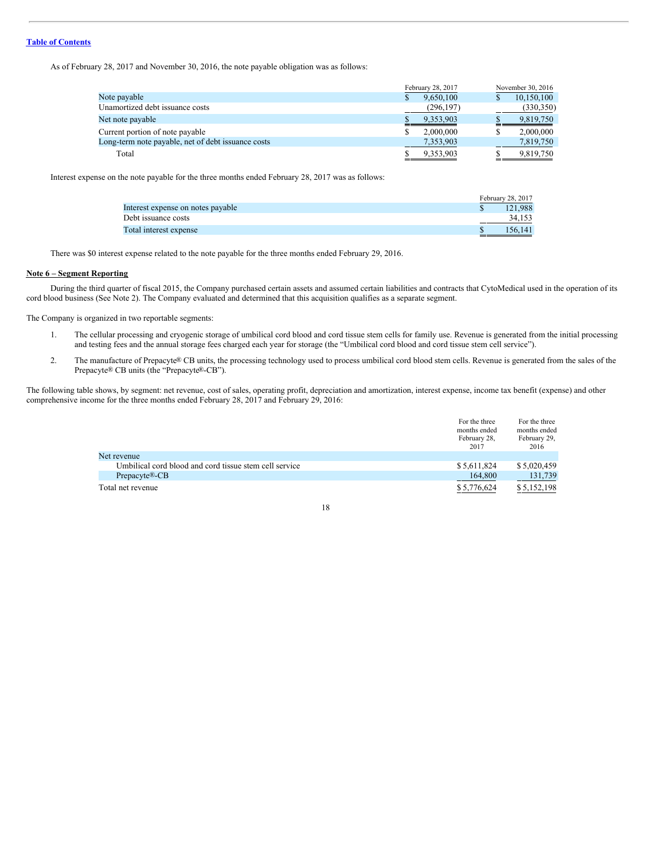As of February 28, 2017 and November 30, 2016, the note payable obligation was as follows:

|                                                    | February 28, 2017 | November 30, 2016 |
|----------------------------------------------------|-------------------|-------------------|
| Note payable                                       | 9,650,100<br>S    | 10,150,100        |
| Unamortized debt issuance costs                    | (296, 197)        | (330,350)         |
| Net note payable                                   | 9,353,903         | 9,819,750         |
| Current portion of note payable                    | 2,000,000         | 2,000,000         |
| Long-term note payable, net of debt issuance costs | 7,353,903         | 7,819,750         |
| Total                                              | 9,353,903         | 9,819,750         |

Interest expense on the note payable for the three months ended February 28, 2017 was as follows:

|                                   | February 28, 2017 |
|-----------------------------------|-------------------|
| Interest expense on notes payable | 121.988           |
| Debt issuance costs               | 34.153            |
| Total interest expense            | 156.141           |

There was \$0 interest expense related to the note payable for the three months ended February 29, 2016.

#### **Note 6 – Segment Reporting**

During the third quarter of fiscal 2015, the Company purchased certain assets and assumed certain liabilities and contracts that CytoMedical used in the operation of its cord blood business (See Note 2). The Company evaluated and determined that this acquisition qualifies as a separate segment.

The Company is organized in two reportable segments:

- 1. The cellular processing and cryogenic storage of umbilical cord blood and cord tissue stem cells for family use. Revenue is generated from the initial processing and testing fees and the annual storage fees charged each year for storage (the "Umbilical cord blood and cord tissue stem cell service").
- 2. The manufacture of Prepacyte® CB units, the processing technology used to process umbilical cord blood stem cells. Revenue is generated from the sales of the Prepacyte® CB units (the "Prepacyte®-CB").

The following table shows, by segment: net revenue, cost of sales, operating profit, depreciation and amortization, interest expense, income tax benefit (expense) and other comprehensive income for the three months ended February 28, 2017 and February 29, 2016:

|                                                        | For the three<br>months ended<br>February 28,<br>2017 | For the three<br>months ended<br>February 29,<br>2016 |
|--------------------------------------------------------|-------------------------------------------------------|-------------------------------------------------------|
| Net revenue                                            |                                                       |                                                       |
| Umbilical cord blood and cord tissue stem cell service | \$5,611,824                                           | \$5,020,459                                           |
| Prepacyte®-CB                                          | 164,800                                               | 131,739                                               |
| Total net revenue                                      | \$5,776,624                                           | \$5,152,198                                           |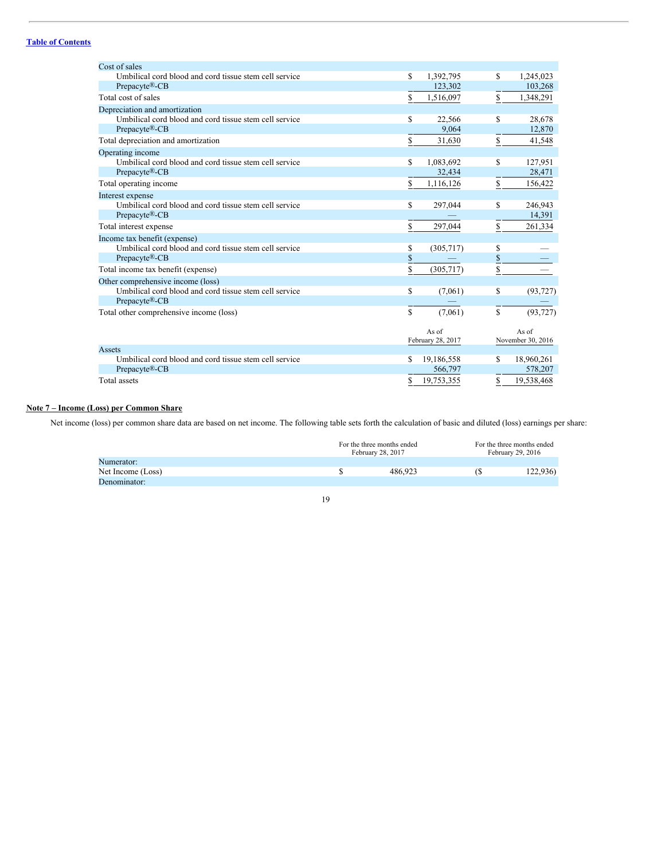| Cost of sales                                          |    |                   |    |                   |
|--------------------------------------------------------|----|-------------------|----|-------------------|
| Umbilical cord blood and cord tissue stem cell service | \$ | 1,392,795         | \$ | 1,245,023         |
| Prepacyte <sup>®</sup> -CB                             |    | 123,302           |    | 103,268           |
| Total cost of sales                                    | \$ | 1,516,097         | \$ | 1,348,291         |
| Depreciation and amortization                          |    |                   |    |                   |
| Umbilical cord blood and cord tissue stem cell service | \$ | 22,566            | \$ | 28,678            |
| Prepacyte®-CB                                          |    | 9,064             |    | 12,870            |
| Total depreciation and amortization                    | \$ | 31,630            | \$ | 41,548            |
| Operating income                                       |    |                   |    |                   |
| Umbilical cord blood and cord tissue stem cell service | \$ | 1,083,692         | \$ | 127,951           |
| Prepacyte®-CB                                          |    | 32,434            |    | 28,471            |
| Total operating income                                 | \$ | 1,116,126         | \$ | 156,422           |
| Interest expense                                       |    |                   |    |                   |
| Umbilical cord blood and cord tissue stem cell service | \$ | 297,044           | \$ | 246,943           |
| Prepacyte®-CB                                          |    |                   |    | 14,391            |
| Total interest expense                                 | \$ | 297,044           | \$ | 261,334           |
| Income tax benefit (expense)                           |    |                   |    |                   |
| Umbilical cord blood and cord tissue stem cell service | \$ | (305,717)         | \$ |                   |
| Prepacyte®-CB                                          | \$ |                   | \$ |                   |
| Total income tax benefit (expense)                     | \$ | (305, 717)        | \$ |                   |
| Other comprehensive income (loss)                      |    |                   |    |                   |
| Umbilical cord blood and cord tissue stem cell service | \$ | (7,061)           | \$ | (93, 727)         |
| Prepacyte®-CB                                          |    |                   |    |                   |
| Total other comprehensive income (loss)                | \$ | (7,061)           | \$ | (93, 727)         |
|                                                        |    | As of             |    | As of             |
|                                                        |    | February 28, 2017 |    | November 30, 2016 |
| Assets                                                 |    |                   |    |                   |
| Umbilical cord blood and cord tissue stem cell service | S  | 19,186,558        | S. | 18,960,261        |
| Prepacyte®-CB                                          |    | 566,797           |    | 578,207           |
| Total assets                                           | \$ | 19,753,355        | \$ | 19,538,468        |

## **Note 7 – Income (Loss) per Common Share**

Net income (loss) per common share data are based on net income. The following table sets forth the calculation of basic and diluted (loss) earnings per share:

|                   | For the three months ended<br>February 28, 2017 |         | For the three months ended<br>February 29, 2016 |          |  |
|-------------------|-------------------------------------------------|---------|-------------------------------------------------|----------|--|
| Numerator:        |                                                 |         |                                                 |          |  |
| Net Income (Loss) |                                                 | 486,923 |                                                 | 122,936) |  |
| Denominator:      |                                                 |         |                                                 |          |  |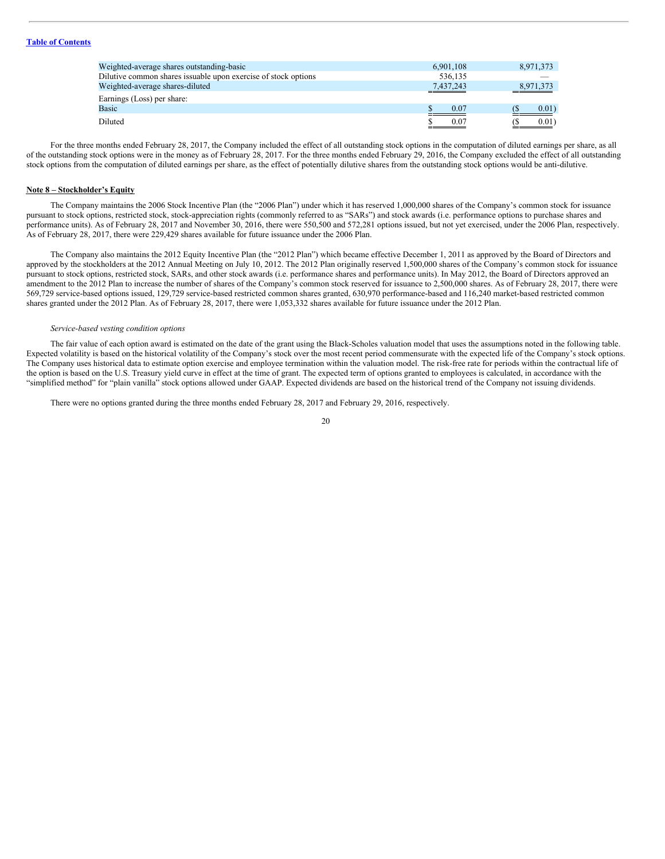| Weighted-average shares outstanding-basic                      | 6,901,108 | 8,971,373   |
|----------------------------------------------------------------|-----------|-------------|
| Dilutive common shares issuable upon exercise of stock options | 536.135   |             |
| Weighted-average shares-diluted                                | 7,437,243 | 8,971,373   |
| Earnings (Loss) per share:                                     |           |             |
| Basic                                                          | 0.07      | 0.01)<br>68 |
| Diluted                                                        | 0.07      | 0.01)<br>68 |

For the three months ended February 28, 2017, the Company included the effect of all outstanding stock options in the computation of diluted earnings per share, as all of the outstanding stock options were in the money as of February 28, 2017. For the three months ended February 29, 2016, the Company excluded the effect of all outstanding stock options from the computation of diluted earnings per share, as the effect of potentially dilutive shares from the outstanding stock options would be anti-dilutive.

#### **Note 8 – Stockholder's Equity**

The Company maintains the 2006 Stock Incentive Plan (the "2006 Plan") under which it has reserved 1,000,000 shares of the Company's common stock for issuance pursuant to stock options, restricted stock, stock-appreciation rights (commonly referred to as "SARs") and stock awards (i.e. performance options to purchase shares and performance units). As of February 28, 2017 and November 30, 2016, there were 550,500 and 572,281 options issued, but not yet exercised, under the 2006 Plan, respectively. As of February 28, 2017, there were 229,429 shares available for future issuance under the 2006 Plan.

The Company also maintains the 2012 Equity Incentive Plan (the "2012 Plan") which became effective December 1, 2011 as approved by the Board of Directors and approved by the stockholders at the 2012 Annual Meeting on July 10, 2012. The 2012 Plan originally reserved 1,500,000 shares of the Company's common stock for issuance pursuant to stock options, restricted stock, SARs, and other stock awards (i.e. performance shares and performance units). In May 2012, the Board of Directors approved an amendment to the 2012 Plan to increase the number of shares of the Company's common stock reserved for issuance to  $2,500,000$  shares. As of February 28, 2017, there were 569,729 service-based options issued, 129,729 service-based restricted common shares granted, 630,970 performance-based and 116,240 market-based restricted common shares granted under the 2012 Plan. As of February 28, 2017, there were 1,053,332 shares available for future issuance under the 2012 Plan.

#### *Service-based vesting condition options*

The fair value of each option award is estimated on the date of the grant using the Black-Scholes valuation model that uses the assumptions noted in the following table. Expected volatility is based on the historical volatility of the Company's stock over the most recent period commensurate with the expected life of the Company's stock options. The Company uses historical data to estimate option exercise and employee termination within the valuation model. The risk-free rate for periods within the contractual life of the option is based on the U.S. Treasury yield curve in effect at the time of grant. The expected term of options granted to employees is calculated, in accordance with the "simplified method" for "plain vanilla" stock options allowed under GAAP. Expected dividends are based on the historical trend of the Company not issuing dividends.

There were no options granted during the three months ended February 28, 2017 and February 29, 2016, respectively.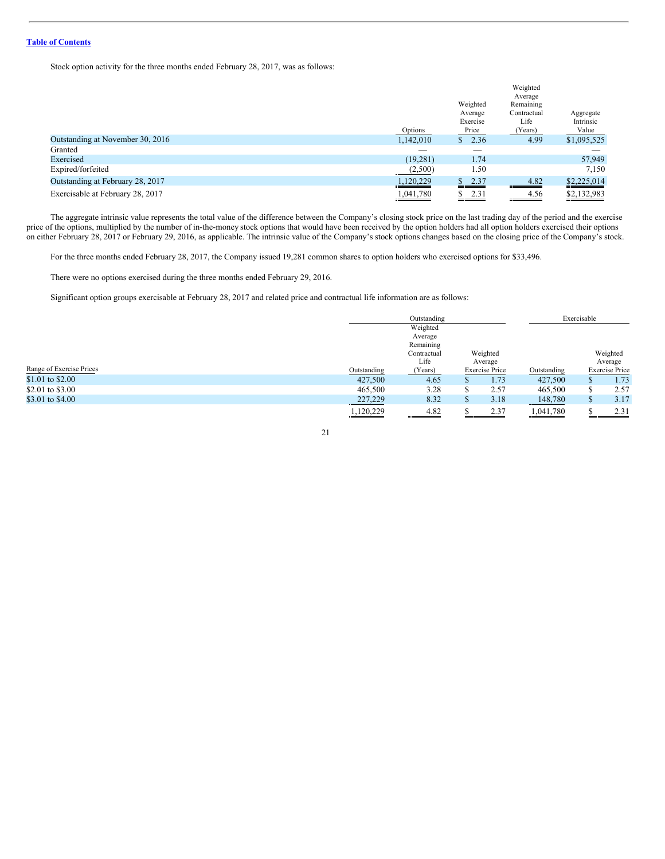Stock option activity for the three months ended February 28, 2017, was as follows:

|                                  |           |          | Weighted    |             |
|----------------------------------|-----------|----------|-------------|-------------|
|                                  |           |          |             |             |
|                                  |           | Weighted | Remaining   |             |
|                                  |           | Average  | Contractual | Aggregate   |
|                                  |           | Exercise | Life        | Intrinsic   |
|                                  | Options   | Price    | (Years)     | Value       |
| Outstanding at November 30, 2016 | 1,142,010 | \$2.36   | 4.99        | \$1,095,525 |
| Granted                          |           | _        |             |             |
| Exercised                        | (19,281)  | 1.74     |             | 57,949      |
| Expired/forfeited                | (2,500)   | 1.50     |             | 7,150       |
| Outstanding at February 28, 2017 | 1,120,229 | \$2.37   | 4.82        | \$2,225,014 |
| Exercisable at February 28, 2017 | 1,041,780 | 2.31     | 4.56        | \$2,132,983 |

The aggregate intrinsic value represents the total value of the difference between the Company's closing stock price on the last trading day of the period and the exercise price of the options, multiplied by the number of in-the-money stock options that would have been received by the option holders had all option holders exercised their options on either February 28, 2017 or February 29, 2016, as applicable. The intrinsic value of the Company's stock options changes based on the closing price of the Company's stock.

For the three months ended February 28, 2017, the Company issued 19,281 common shares to option holders who exercised options for \$33,496.

There were no options exercised during the three months ended February 29, 2016.

Significant option groups exercisable at February 28, 2017 and related price and contractual life information are as follows:

|                          |             | Outstanding |   |                       |             | Exercisable |                       |  |  |
|--------------------------|-------------|-------------|---|-----------------------|-------------|-------------|-----------------------|--|--|
|                          |             | Weighted    |   |                       |             |             |                       |  |  |
|                          |             | Average     |   |                       |             |             |                       |  |  |
|                          |             | Remaining   |   |                       |             |             |                       |  |  |
|                          |             | Contractual |   | Weighted              |             |             | Weighted              |  |  |
|                          |             | Life        |   | Average               |             |             | Average               |  |  |
| Range of Exercise Prices | Outstanding | (Years)     |   | <b>Exercise Price</b> | Outstanding |             | <b>Exercise Price</b> |  |  |
| \$1.01 to \$2.00         | 427,500     | 4.65        |   | 1.73                  | 427,500     |             | 1.73                  |  |  |
| \$2.01 to \$3.00         | 465,500     | 3.28        | S | 2.57                  | 465,500     |             | 2.57                  |  |  |
| \$3.01 to \$4.00         | 227,229     | 8.32        | S | 3.18                  | 148,780     | ъ           | 3.17                  |  |  |
|                          | 1,120,229   | 4.82        |   | 2.37                  | 1,041,780   |             | 2.31                  |  |  |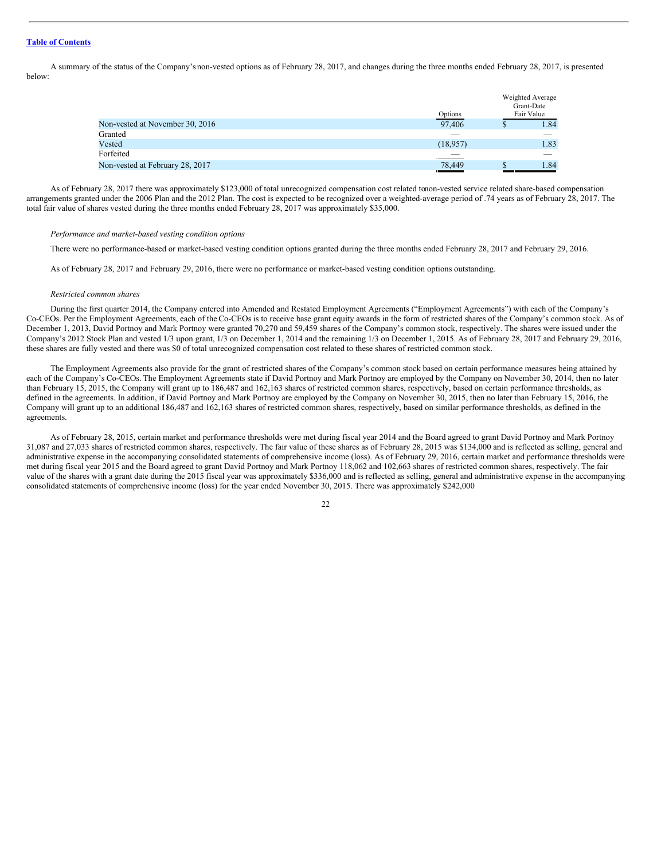A summary of the status of the Company's non-vested options as of February 28, 2017, and changes during the three months ended February 28, 2017, is presented below:

|                                 | Options   | Weighted Average<br>Grant-Date<br>Fair Value |      |  |
|---------------------------------|-----------|----------------------------------------------|------|--|
| Non-vested at November 30, 2016 | 97,406    |                                              | 1.84 |  |
| Granted                         | __        |                                              | ___  |  |
| Vested                          | (18, 957) |                                              | 1.83 |  |
| Forfeited                       |           |                                              |      |  |
| Non-vested at February 28, 2017 | 78,449    |                                              | 1.84 |  |

As of February 28, 2017 there was approximately \$123,000 of total unrecognized compensation cost related tonon-vested service related share-based compensation arrangements granted under the 2006 Plan and the 2012 Plan. The cost is expected to be recognized over a weighted-average period of .74 years as of February 28, 2017. The total fair value of shares vested during the three months ended February 28, 2017 was approximately \$35,000.

#### *Performance and market-based vesting condition options*

There were no performance-based or market-based vesting condition options granted during the three months ended February 28, 2017 and February 29, 2016.

As of February 28, 2017 and February 29, 2016, there were no performance or market-based vesting condition options outstanding.

#### *Restricted common shares*

During the first quarter 2014, the Company entered into Amended and Restated Employment Agreements ("Employment Agreements") with each of the Company's Co-CEOs. Per the Employment Agreements, each of theCo-CEOs is to receive base grant equity awards in the form of restricted shares of the Company's common stock. As of December 1, 2013, David Portnoy and Mark Portnoy were granted 70,270 and 59,459 shares of the Company's common stock, respectively. The shares were issued under the Company's 2012 Stock Plan and vested 1/3 upon grant, 1/3 on December 1, 2014 and the remaining 1/3 on December 1, 2015. As of February 28, 2017 and February 29, 2016, these shares are fully vested and there was \$0 of total unrecognized compensation cost related to these shares of restricted common stock.

The Employment Agreements also provide for the grant of restricted shares of the Company's common stock based on certain performance measures being attained by each of the Company's Co-CEOs. The Employment Agreements state if David Portnoy and Mark Portnoy are employed by the Company on November 30, 2014, then no later than February 15, 2015, the Company will grant up to 186,487 and 162,163 shares of restricted common shares, respectively, based on certain performance thresholds, as defined in the agreements. In addition, if David Portnoy and Mark Portnoy are employed by the Company on November 30, 2015, then no later than February 15, 2016, the Company will grant up to an additional 186,487 and 162,163 shares of restricted common shares, respectively, based on similar performance thresholds, as defined in the agreements.

As of February 28, 2015, certain market and performance thresholds were met during fiscal year 2014 and the Board agreed to grant David Portnoy and Mark Portnoy 31,087 and 27,033 shares of restricted common shares, respectively. The fair value of these shares as of February 28, 2015 was \$134,000 and is reflected as selling, general and administrative expense in the accompanying consolidated statements of comprehensive income (loss). As of February 29, 2016, certain market and performance thresholds were met during fiscal year 2015 and the Board agreed to grant David Portnoy and Mark Portnoy 118,062 and 102,663 shares of restricted common shares, respectively. The fair value of the shares with a grant date during the 2015 fiscal year was approximately \$336,000 and is reflected as selling, general and administrative expense in the accompanying consolidated statements of comprehensive income (loss) for the year ended November 30, 2015. There was approximately \$242,000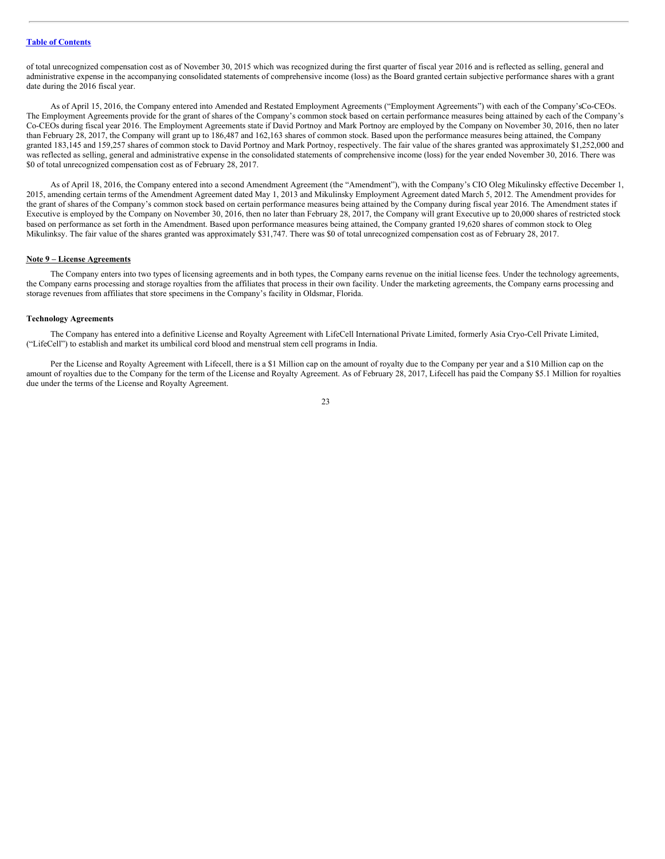of total unrecognized compensation cost as of November 30, 2015 which was recognized during the first quarter of fiscal year 2016 and is reflected as selling, general and administrative expense in the accompanying consolidated statements of comprehensive income (loss) as the Board granted certain subjective performance shares with a grant date during the 2016 fiscal year.

As of April 15, 2016, the Company entered into Amended and Restated Employment Agreements ("Employment Agreements") with each of the Company'sCo-CEOs. The Employment Agreements provide for the grant of shares of the Company's common stock based on certain performance measures being attained by each of the Company's Co-CEOs during fiscal year 2016. The Employment Agreements state if David Portnoy and Mark Portnoy are employed by the Company on November 30, 2016, then no later than February 28, 2017, the Company will grant up to 186,487 and 162,163 shares of common stock. Based upon the performance measures being attained, the Company granted 183,145 and 159,257 shares of common stock to David Portnoy and Mark Portnoy, respectively. The fair value of the shares granted was approximately \$1,252,000 and was reflected as selling, general and administrative expense in the consolidated statements of comprehensive income (loss) for the year ended November 30, 2016. There was \$0 of total unrecognized compensation cost as of February 28, 2017.

As of April 18, 2016, the Company entered into a second Amendment Agreement (the "Amendment"), with the Company's CIO Oleg Mikulinsky effective December 1, 2015, amending certain terms of the Amendment Agreement dated May 1, 2013 and Mikulinsky Employment Agreement dated March 5, 2012. The Amendment provides for the grant of shares of the Company's common stock based on certain performance measures being attained by the Company during fiscal year 2016. The Amendment states if Executive is employed by the Company on November 30, 2016, then no later than February 28, 2017, the Company will grant Executive up to 20,000 shares of restricted stock based on performance as set forth in the Amendment. Based upon performance measures being attained, the Company granted 19,620 shares of common stock to Oleg Mikulinksy. The fair value of the shares granted was approximately \$31,747. There was \$0 of total unrecognized compensation cost as of February 28, 2017.

#### **Note 9 – License Agreements**

The Company enters into two types of licensing agreements and in both types, the Company earns revenue on the initial license fees. Under the technology agreements, the Company earns processing and storage royalties from the affiliates that process in their own facility. Under the marketing agreements, the Company earns processing and storage revenues from affiliates that store specimens in the Company's facility in Oldsmar, Florida.

#### **Technology Agreements**

The Company has entered into a definitive License and Royalty Agreement with LifeCell International Private Limited, formerly Asia Cryo-Cell Private Limited, ("LifeCell") to establish and market its umbilical cord blood and menstrual stem cell programs in India.

Per the License and Royalty Agreement with Lifecell, there is a \$1 Million cap on the amount of royalty due to the Company per year and a \$10 Million cap on the amount of royalties due to the Company for the term of the License and Royalty Agreement. As of February 28, 2017, Lifecell has paid the Company \$5.1 Million for royalties due under the terms of the License and Royalty Agreement.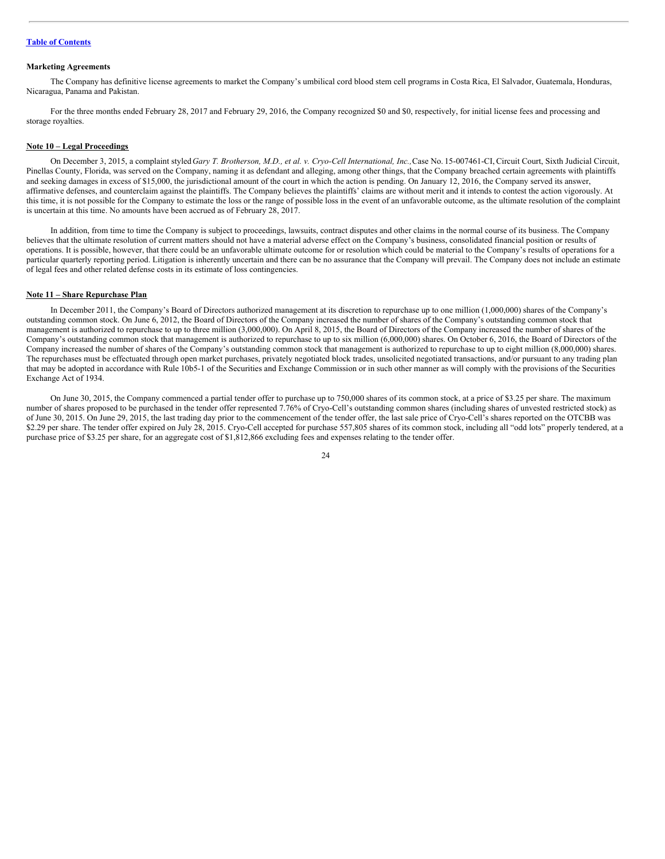#### **Marketing Agreements**

The Company has definitive license agreements to market the Company's umbilical cord blood stem cell programs in Costa Rica, El Salvador, Guatemala, Honduras, Nicaragua, Panama and Pakistan.

For the three months ended February 28, 2017 and February 29, 2016, the Company recognized \$0 and \$0, respectively, for initial license fees and processing and storage royalties.

#### **Note 10 – Legal Proceedings**

On December 3, 2015, a complaint styled Gary T. Brotherson, M.D., et al. v. Cryo-Cell International, Inc., Case No. 15-007461-CI, Circuit Court, Sixth Judicial Circuit, Pinellas County, Florida, was served on the Company, naming it as defendant and alleging, among other things, that the Company breached certain agreements with plaintiffs and seeking damages in excess of \$15,000, the jurisdictional amount of the court in which the action is pending. On January 12, 2016, the Company served its answer, affirmative defenses, and counterclaim against the plaintiffs. The Company believes the plaintiffs' claims are without merit and it intends to contest the action vigorously. At this time, it is not possible for the Company to estimate the loss or the range of possible loss in the event of an unfavorable outcome, as the ultimate resolution of the complaint is uncertain at this time. No amounts have been accrued as of February 28, 2017.

In addition, from time to time the Company is subject to proceedings, lawsuits, contract disputes and other claims in the normal course of its business. The Company believes that the ultimate resolution of current matters should not have a material adverse effect on the Company's business, consolidated financial position or results of operations. It is possible, however, that there could be an unfavorable ultimate outcome for or resolution which could be material to the Company's results of operations for a particular quarterly reporting period. Litigation is inherently uncertain and there can be no assurance that the Company will prevail. The Company does not include an estimate of legal fees and other related defense costs in its estimate of loss contingencies.

#### **Note 11 – Share Repurchase Plan**

In December 2011, the Company's Board of Directors authorized management at its discretion to repurchase up to one million (1,000,000) shares of the Company's outstanding common stock. On June 6, 2012, the Board of Directors of the Company increased the number of shares of the Company's outstanding common stock that management is authorized to repurchase to up to three million (3,000,000). On April 8, 2015, the Board of Directors of the Company increased the number of shares of the Company's outstanding common stock that management is authorized to repurchase to up to six million (6,000,000) shares. On October 6, 2016, the Board of Directors of the Company increased the number of shares of the Company's outstanding common stock that management is authorized to repurchase to up to eight million (8,000,000) shares. The repurchases must be effectuated through open market purchases, privately negotiated block trades, unsolicited negotiated transactions, and/or pursuant to any trading plan that may be adopted in accordance with Rule 10b5-1 of the Securities and Exchange Commission or in such other manner as will comply with the provisions of the Securities Exchange Act of 1934.

On June 30, 2015, the Company commenced a partial tender offer to purchase up to 750,000 shares of its common stock, at a price of \$3.25 per share. The maximum number of shares proposed to be purchased in the tender offer represented 7.76% of Cryo-Cell's outstanding common shares (including shares of unvested restricted stock) as of June 30, 2015. On June 29, 2015, the last trading day prior to the commencement of the tender offer, the last sale price of Cryo-Cell's shares reported on the OTCBB was \$2.29 per share. The tender offer expired on July 28, 2015. Cryo-Cell accepted for purchase 557,805 shares of its common stock, including all "odd lots" properly tendered, at a purchase price of \$3.25 per share, for an aggregate cost of \$1,812,866 excluding fees and expenses relating to the tender offer.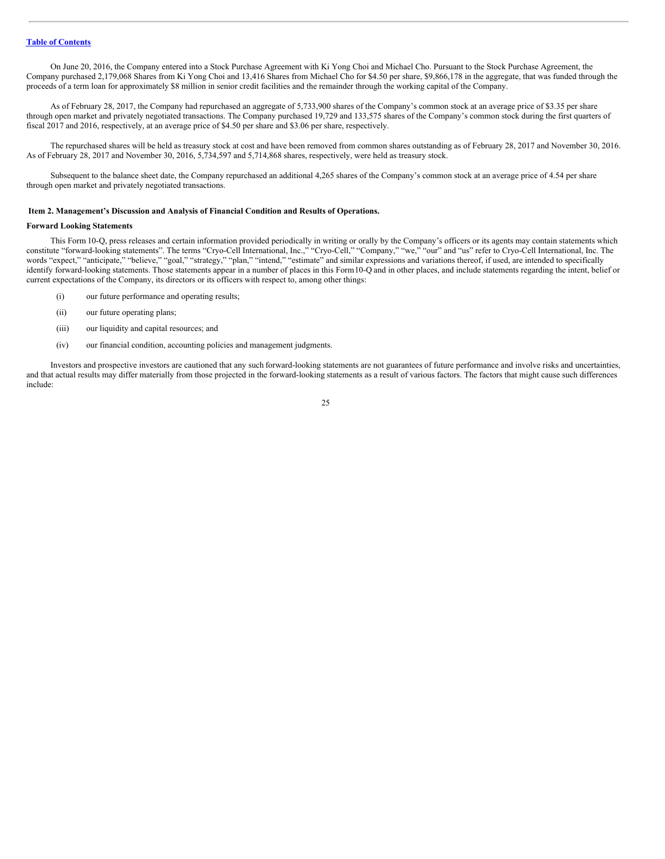On June 20, 2016, the Company entered into a Stock Purchase Agreement with Ki Yong Choi and Michael Cho. Pursuant to the Stock Purchase Agreement, the Company purchased 2,179,068 Shares from Ki Yong Choi and 13,416 Shares from Michael Cho for \$4.50 per share, \$9,866,178 in the aggregate, that was funded through the proceeds of a term loan for approximately \$8 million in senior credit facilities and the remainder through the working capital of the Company.

As of February 28, 2017, the Company had repurchased an aggregate of 5,733,900 shares of the Company's common stock at an average price of \$3.35 per share through open market and privately negotiated transactions. The Company purchased 19,729 and 133,575 shares of the Company's common stock during the first quarters of fiscal 2017 and 2016, respectively, at an average price of \$4.50 per share and \$3.06 per share, respectively.

The repurchased shares will be held as treasury stock at cost and have been removed from common shares outstanding as of February 28, 2017 and November 30, 2016. As of February 28, 2017 and November 30, 2016, 5,734,597 and 5,714,868 shares, respectively, were held as treasury stock.

Subsequent to the balance sheet date, the Company repurchased an additional 4,265 shares of the Company's common stock at an average price of 4.54 per share through open market and privately negotiated transactions.

#### <span id="page-24-0"></span>**Item 2. Management's Discussion and Analysis of Financial Condition and Results of Operations.**

## **Forward Looking Statements**

This Form 10-Q, press releases and certain information provided periodically in writing or orally by the Company's officers or its agents may contain statements which constitute "forward-looking statements". The terms "Cryo-Cell International, Inc.," "Cryo-Cell," "Company," "we," "our" and "us" refer to Cryo-Cell International, Inc. The words "expect," "anticipate," "believe," "goal," "strategy," "plan," "intend," "estimate" and similar expressions and variations thereof, if used, are intended to specifically identify forward-looking statements. Those statements appear in a number of places in this Form10-Q and in other places, and include statements regarding the intent, belief or current expectations of the Company, its directors or its officers with respect to, among other things:

- (i) our future performance and operating results;
- (ii) our future operating plans;
- (iii) our liquidity and capital resources; and
- (iv) our financial condition, accounting policies and management judgments.

Investors and prospective investors are cautioned that any such forward-looking statements are not guarantees of future performance and involve risks and uncertainties, and that actual results may differ materially from those projected in the forward-looking statements as a result of various factors. The factors that might cause such differences include: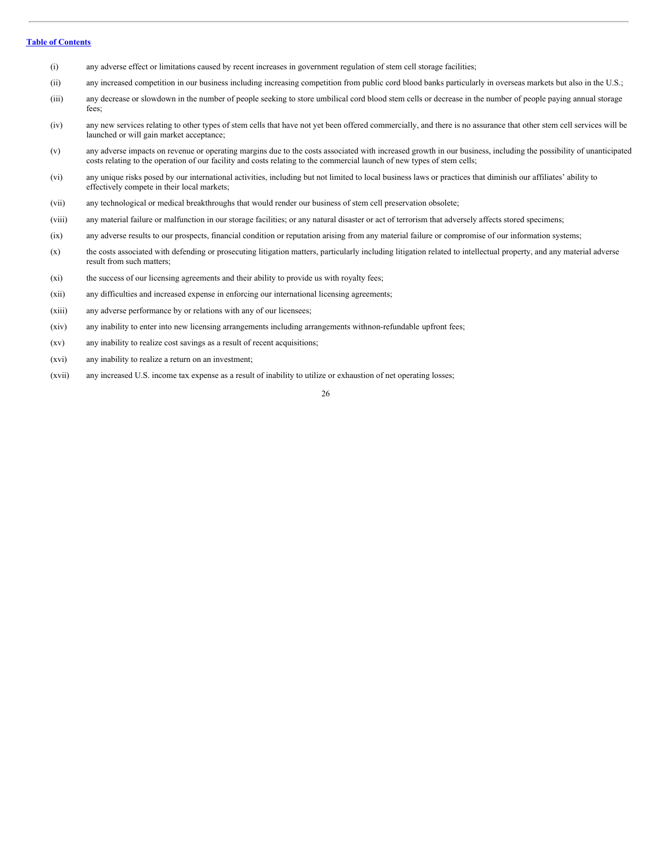- (i) any adverse effect or limitations caused by recent increases in government regulation of stem cell storage facilities;
- (ii) any increased competition in our business including increasing competition from public cord blood banks particularly in overseas markets but also in the U.S.;
- (iii) any decrease or slowdown in the number of people seeking to store umbilical cord blood stem cells or decrease in the number of people paying annual storage fees;
- (iv) any new services relating to other types of stem cells that have not yet been offered commercially, and there is no assurance that other stem cell services will be launched or will gain market acceptance;
- (v) any adverse impacts on revenue or operating margins due to the costs associated with increased growth in our business, including the possibility of unanticipated costs relating to the operation of our facility and costs relating to the commercial launch of new types of stem cells;
- (vi) any unique risks posed by our international activities, including but not limited to local business laws or practices that diminish our affiliates' ability to effectively compete in their local markets;
- (vii) any technological or medical breakthroughs that would render our business of stem cell preservation obsolete;
- (viii) any material failure or malfunction in our storage facilities; or any natural disaster or act of terrorism that adversely affects stored specimens;
- (ix) any adverse results to our prospects, financial condition or reputation arising from any material failure or compromise of our information systems;
- (x) the costs associated with defending or prosecuting litigation matters, particularly including litigation related to intellectual property, and any material adverse result from such matters;
- (xi) the success of our licensing agreements and their ability to provide us with royalty fees;
- (xii) any difficulties and increased expense in enforcing our international licensing agreements;
- (xiii) any adverse performance by or relations with any of our licensees;
- (xiv) any inability to enter into new licensing arrangements including arrangements withnon-refundable upfront fees;
- (xv) any inability to realize cost savings as a result of recent acquisitions;
- (xvi) any inability to realize a return on an investment;
- (xvii) any increased U.S. income tax expense as a result of inability to utilize or exhaustion of net operating losses;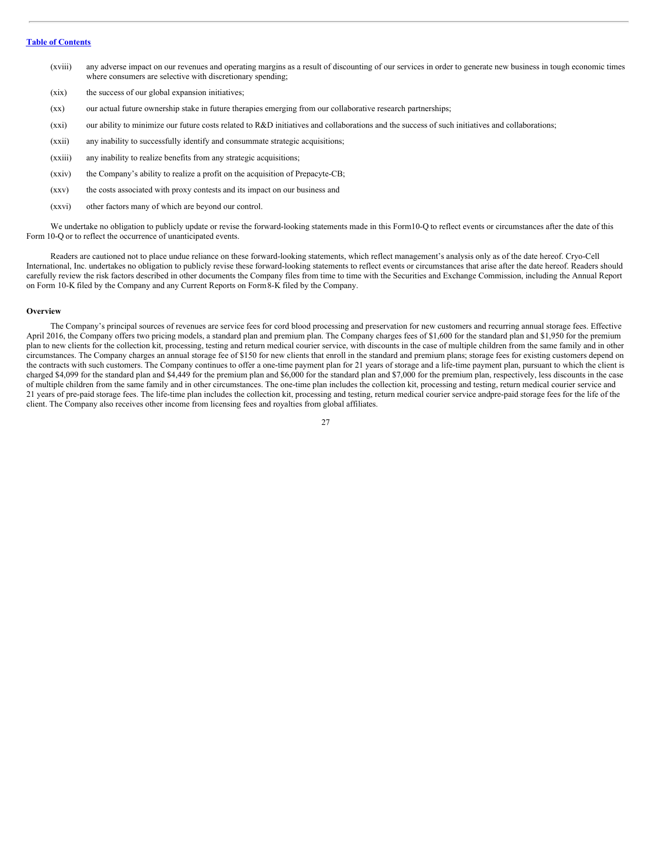- (xviii) any adverse impact on our revenues and operating margins as a result of discounting of our services in order to generate new business in tough economic times where consumers are selective with discretionary spending;
- (xix) the success of our global expansion initiatives;
- (xx) our actual future ownership stake in future therapies emerging from our collaborative research partnerships;
- (xxi) our ability to minimize our future costs related to R&D initiatives and collaborations and the success of such initiatives and collaborations;
- (xxii) any inability to successfully identify and consummate strategic acquisitions;
- (xxiii) any inability to realize benefits from any strategic acquisitions;
- (xxiv) the Company's ability to realize a profit on the acquisition of Prepacyte-CB;
- (xxv) the costs associated with proxy contests and its impact on our business and
- (xxvi) other factors many of which are beyond our control.

We undertake no obligation to publicly update or revise the forward-looking statements made in this Form10-Q to reflect events or circumstances after the date of this Form 10-Q or to reflect the occurrence of unanticipated events.

Readers are cautioned not to place undue reliance on these forward-looking statements, which reflect management's analysis only as of the date hereof. Cryo-Cell International, Inc. undertakes no obligation to publicly revise these forward-looking statements to reflect events or circumstances that arise after the date hereof. Readers should carefully review the risk factors described in other documents the Company files from time to time with the Securities and Exchange Commission, including the Annual Report on Form 10-K filed by the Company and any Current Reports on Form8-K filed by the Company.

#### **Overview**

The Company's principal sources of revenues are service fees for cord blood processing and preservation for new customers and recurring annual storage fees. Effective April 2016, the Company offers two pricing models, a standard plan and premium plan. The Company charges fees of \$1,600 for the standard plan and \$1,950 for the premium plan to new clients for the collection kit, processing, testing and return medical courier service, with discounts in the case of multiple children from the same family and in other circumstances. The Company charges an annual storage fee of \$150 for new clients that enroll in the standard and premium plans; storage fees for existing customers depend on the contracts with such customers. The Company continues to offer a one-time payment plan for 21 years of storage and a life-time payment plan, pursuant to which the client is charged \$4,099 for the standard plan and \$4,449 for the premium plan and \$6,000 for the standard plan and \$7,000 for the premium plan, respectively, less discounts in the case of multiple children from the same family and in other circumstances. The one-time plan includes the collection kit, processing and testing, return medical courier service and 21 years of pre-paid storage fees. The life-time plan includes the collection kit, processing and testing, return medical courier service andpre-paid storage fees for the life of the client. The Company also receives other income from licensing fees and royalties from global affiliates.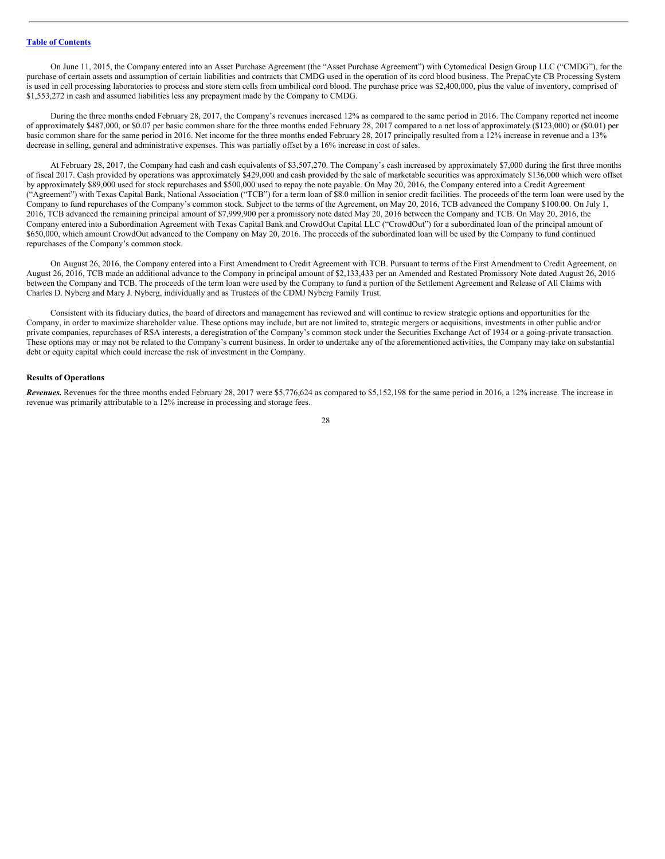On June 11, 2015, the Company entered into an Asset Purchase Agreement (the "Asset Purchase Agreement") with Cytomedical Design Group LLC ("CMDG"), for the purchase of certain assets and assumption of certain liabilities and contracts that CMDG used in the operation of its cord blood business. The PrepaCyte CB Processing System is used in cell processing laboratories to process and store stem cells from umbilical cord blood. The purchase price was \$2,400,000, plus the value of inventory, comprised of \$1,553,272 in cash and assumed liabilities less any prepayment made by the Company to CMDG.

During the three months ended February 28, 2017, the Company's revenues increased 12% as compared to the same period in 2016. The Company reported net income of approximately \$487,000, or \$0.07 per basic common share for the three months ended February 28, 2017 compared to a net loss of approximately (\$123,000) or (\$0.01) per basic common share for the same period in 2016. Net income for the three months ended February 28, 2017 principally resulted from a 12% increase in revenue and a 13% decrease in selling, general and administrative expenses. This was partially offset by a 16% increase in cost of sales.

At February 28, 2017, the Company had cash and cash equivalents of \$3,507,270. The Company's cash increased by approximately \$7,000 during the first three months of fiscal 2017. Cash provided by operations was approximately \$429,000 and cash provided by the sale of marketable securities was approximately \$136,000 which were offset by approximately \$89,000 used for stock repurchases and \$500,000 used to repay the note payable. On May 20, 2016, the Company entered into a Credit Agreement ("Agreement") with Texas Capital Bank, National Association ("TCB") for a term loan of \$8.0 million in senior credit facilities. The proceeds of the term loan were used by the Company to fund repurchases of the Company's common stock. Subject to the terms of the Agreement, on May 20, 2016, TCB advanced the Company \$100.00. On July 1, 2016, TCB advanced the remaining principal amount of \$7,999,900 per a promissory note dated May 20, 2016 between the Company and TCB. On May 20, 2016, the Company entered into a Subordination Agreement with Texas Capital Bank and CrowdOut Capital LLC ("CrowdOut") for a subordinated loan of the principal amount of \$650,000, which amount CrowdOut advanced to the Company on May 20, 2016. The proceeds of the subordinated loan will be used by the Company to fund continued repurchases of the Company's common stock.

On August 26, 2016, the Company entered into a First Amendment to Credit Agreement with TCB. Pursuant to terms of the First Amendment to Credit Agreement, on August 26, 2016, TCB made an additional advance to the Company in principal amount of \$2,133,433 per an Amended and Restated Promissory Note dated August 26, 2016 between the Company and TCB. The proceeds of the term loan were used by the Company to fund a portion of the Settlement Agreement and Release of All Claims with Charles D. Nyberg and Mary J. Nyberg, individually and as Trustees of the CDMJ Nyberg Family Trust.

Consistent with its fiduciary duties, the board of directors and management has reviewed and will continue to review strategic options and opportunities for the Company, in order to maximize shareholder value. These options may include, but are not limited to, strategic mergers or acquisitions, investments in other public and/or private companies, repurchases of RSA interests, a deregistration of the Company's common stock under the Securities Exchange Act of 1934 or a going-private transaction. These options may or may not be related to the Company's current business. In order to undertake any of the aforementioned activities, the Company may take on substantial debt or equity capital which could increase the risk of investment in the Company.

## **Results of Operations**

*Revenues.* Revenues for the three months ended February 28, 2017 were \$5,776,624 as compared to \$5,152,198 for the same period in 2016, a 12% increase. The increase in revenue was primarily attributable to a 12% increase in processing and storage fees.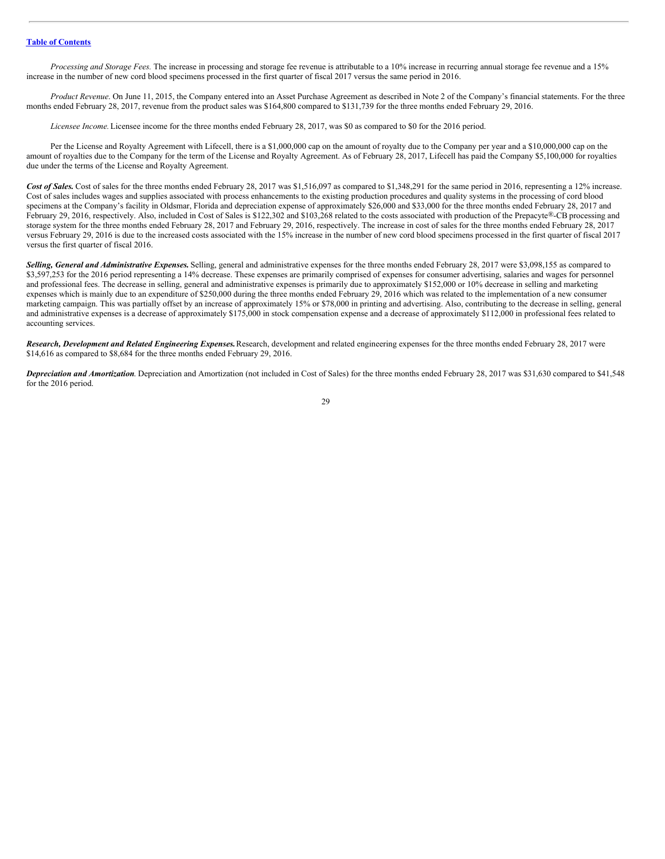*Processing and Storage Fees.* The increase in processing and storage fee revenue is attributable to a 10% increase in recurring annual storage fee revenue and a 15% increase in the number of new cord blood specimens processed in the first quarter of fiscal 2017 versus the same period in 2016.

*Product Revenue*. On June 11, 2015, the Company entered into an Asset Purchase Agreement as described in Note 2 of the Company's financial statements. For the three months ended February 28, 2017, revenue from the product sales was \$164,800 compared to \$131,739 for the three months ended February 29, 2016.

*Licensee Income.*Licensee income for the three months ended February 28, 2017, was \$0 as compared to \$0 for the 2016 period.

Per the License and Royalty Agreement with Lifecell, there is a \$1,000,000 cap on the amount of royalty due to the Company per year and a \$10,000,000 cap on the amount of royalties due to the Company for the term of the License and Royalty Agreement. As of February 28, 2017, Lifecell has paid the Company \$5,100,000 for royalties due under the terms of the License and Royalty Agreement.

Cost of Sales. Cost of sales for the three months ended February 28, 2017 was \$1,516,097 as compared to \$1,348,291 for the same period in 2016, representing a 12% increase. Cost of sales includes wages and supplies associated with process enhancements to the existing production procedures and quality systems in the processing of cord blood specimens at the Company's facility in Oldsmar, Florida and depreciation expense of approximately \$26,000 and \$33,000 for the three months ended February 28, 2017 and February 29, 2016, respectively. Also, included in Cost of Sales is \$122,302 and \$103,268 related to the costs associated with production of the Prepacyte®-CB processing and storage system for the three months ended February 28, 2017 and February 29, 2016, respectively. The increase in cost of sales for the three months ended February 28, 2017 versus February 29, 2016 is due to the increased costs associated with the 15% increase in the number of new cord blood specimens processed in the first quarter of fiscal 2017 versus the first quarter of fiscal 2016.

*Selling, General and Administrative Expenses.* Selling, general and administrative expenses for the three months ended February 28, 2017 were \$3,098,155 as compared to \$3,597,253 for the 2016 period representing a 14% decrease. These expenses are primarily comprised of expenses for consumer advertising, salaries and wages for personnel and professional fees. The decrease in selling, general and administrative expenses is primarily due to approximately \$152,000 or 10% decrease in selling and marketing expenses which is mainly due to an expenditure of \$250,000 during the three months ended February 29, 2016 which was related to the implementation of a new consumer marketing campaign. This was partially offset by an increase of approximately 15% or \$78,000 in printing and advertising. Also, contributing to the decrease in selling, general and administrative expenses is a decrease of approximately \$175,000 in stock compensation expense and a decrease of approximately \$112,000 in professional fees related to accounting services.

*Research, Development and Related Engineering Expenses.*Research, development and related engineering expenses for the three months ended February 28, 2017 were \$14,616 as compared to \$8,684 for the three months ended February 29, 2016.

*Depreciation and Amortization*. Depreciation and Amortization (not included in Cost of Sales) for the three months ended February 28, 2017 was \$31,630 compared to \$41,548 for the 2016 period.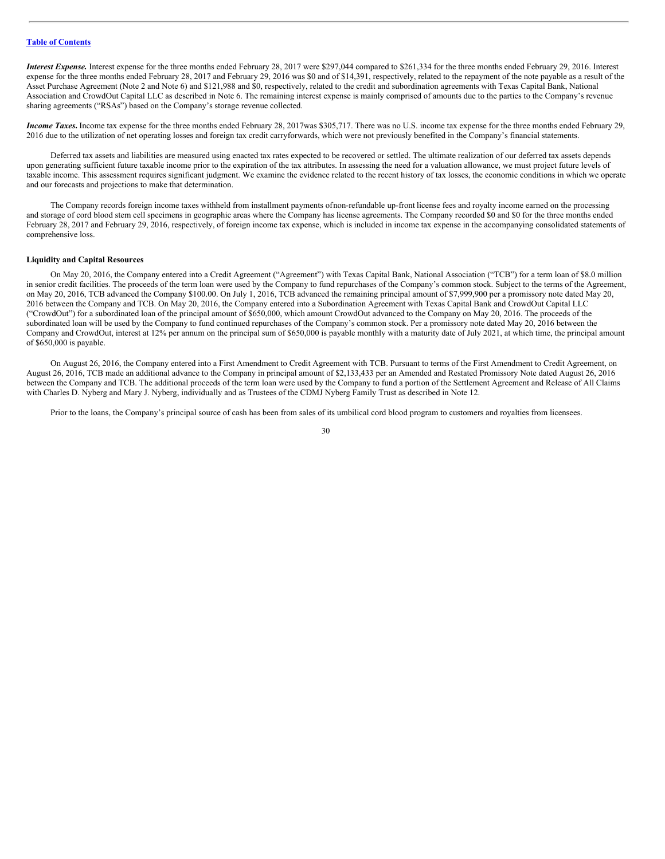*Interest Expense.* Interest expense for the three months ended February 28, 2017 were \$297,044 compared to \$261,334 for the three months ended February 29, 2016. Interest expense for the three months ended February 28, 2017 and February 29, 2016 was \$0 and of \$14,391, respectively, related to the repayment of the note payable as a result of the Asset Purchase Agreement (Note 2 and Note 6) and \$121,988 and \$0, respectively, related to the credit and subordination agreements with Texas Capital Bank, National Association and CrowdOut Capital LLC as described in Note 6. The remaining interest expense is mainly comprised of amounts due to the parties to the Company's revenue sharing agreements ("RSAs") based on the Company's storage revenue collected.

*Income Taxes***.** Income tax expense for the three months ended February 28, 2017was \$305,717. There was no U.S. income tax expense for the three months ended February 29, 2016 due to the utilization of net operating losses and foreign tax credit carryforwards, which were not previously benefited in the Company's financial statements.

Deferred tax assets and liabilities are measured using enacted tax rates expected to be recovered or settled. The ultimate realization of our deferred tax assets depends upon generating sufficient future taxable income prior to the expiration of the tax attributes. In assessing the need for a valuation allowance, we must project future levels of taxable income. This assessment requires significant judgment. We examine the evidence related to the recent history of tax losses, the economic conditions in which we operate and our forecasts and projections to make that determination.

The Company records foreign income taxes withheld from installment payments ofnon-refundable up-front license fees and royalty income earned on the processing and storage of cord blood stem cell specimens in geographic areas where the Company has license agreements. The Company recorded \$0 and \$0 for the three months ended February 28, 2017 and February 29, 2016, respectively, of foreign income tax expense, which is included in income tax expense in the accompanying consolidated statements of comprehensive loss.

#### **Liquidity and Capital Resources**

On May 20, 2016, the Company entered into a Credit Agreement ("Agreement") with Texas Capital Bank, National Association ("TCB") for a term loan of \$8.0 million in senior credit facilities. The proceeds of the term loan were used by the Company to fund repurchases of the Company's common stock. Subject to the terms of the Agreement, on May 20, 2016, TCB advanced the Company \$100.00. On July 1, 2016, TCB advanced the remaining principal amount of \$7,999,900 per a promissory note dated May 20, 2016 between the Company and TCB. On May 20, 2016, the Company entered into a Subordination Agreement with Texas Capital Bank and CrowdOut Capital LLC ("CrowdOut") for a subordinated loan of the principal amount of \$650,000, which amount CrowdOut advanced to the Company on May 20, 2016. The proceeds of the subordinated loan will be used by the Company to fund continued repurchases of the Company's common stock. Per a promissory note dated May 20, 2016 between the Company and CrowdOut, interest at 12% per annum on the principal sum of \$650,000 is payable monthly with a maturity date of July 2021, at which time, the principal amount of \$650,000 is payable.

On August 26, 2016, the Company entered into a First Amendment to Credit Agreement with TCB. Pursuant to terms of the First Amendment to Credit Agreement, on August 26, 2016, TCB made an additional advance to the Company in principal amount of \$2,133,433 per an Amended and Restated Promissory Note dated August 26, 2016 between the Company and TCB. The additional proceeds of the term loan were used by the Company to fund a portion of the Settlement Agreement and Release of All Claims with Charles D. Nyberg and Mary J. Nyberg, individually and as Trustees of the CDMJ Nyberg Family Trust as described in Note 12.

Prior to the loans, the Company's principal source of cash has been from sales of its umbilical cord blood program to customers and royalties from licensees.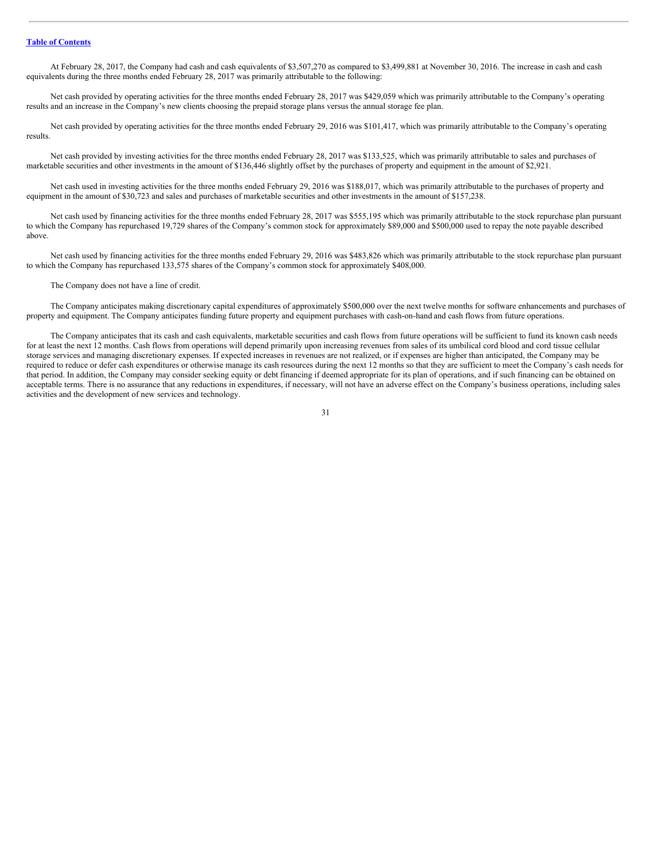At February 28, 2017, the Company had cash and cash equivalents of \$3,507,270 as compared to \$3,499,881 at November 30, 2016. The increase in cash and cash equivalents during the three months ended February 28, 2017 was primarily attributable to the following:

Net cash provided by operating activities for the three months ended February 28, 2017 was \$429,059 which was primarily attributable to the Company's operating results and an increase in the Company's new clients choosing the prepaid storage plans versus the annual storage fee plan.

Net cash provided by operating activities for the three months ended February 29, 2016 was \$101,417, which was primarily attributable to the Company's operating results.

Net cash provided by investing activities for the three months ended February 28, 2017 was \$133,525, which was primarily attributable to sales and purchases of marketable securities and other investments in the amount of \$136,446 slightly offset by the purchases of property and equipment in the amount of \$2,921.

Net cash used in investing activities for the three months ended February 29, 2016 was \$188,017, which was primarily attributable to the purchases of property and equipment in the amount of \$30,723 and sales and purchases of marketable securities and other investments in the amount of \$157,238.

Net cash used by financing activities for the three months ended February 28, 2017 was \$555,195 which was primarily attributable to the stock repurchase plan pursuant to which the Company has repurchased 19,729 shares of the Company's common stock for approximately \$89,000 and \$500,000 used to repay the note payable described above.

Net cash used by financing activities for the three months ended February 29, 2016 was \$483,826 which was primarily attributable to the stock repurchase plan pursuant to which the Company has repurchased 133,575 shares of the Company's common stock for approximately \$408,000.

The Company does not have a line of credit.

The Company anticipates making discretionary capital expenditures of approximately \$500,000 over the next twelve months for software enhancements and purchases of property and equipment. The Company anticipates funding future property and equipment purchases with cash-on-hand and cash flows from future operations.

The Company anticipates that its cash and cash equivalents, marketable securities and cash flows from future operations will be sufficient to fund its known cash needs for at least the next 12 months. Cash flows from operations will depend primarily upon increasing revenues from sales of its umbilical cord blood and cord tissue cellular storage services and managing discretionary expenses. If expected increases in revenues are not realized, or if expenses are higher than anticipated, the Company may be required to reduce or defer cash expenditures or otherwise manage its cash resources during the next 12 months so that they are sufficient to meet the Company's cash needs for that period. In addition, the Company may consider seeking equity or debt financing if deemed appropriate for its plan of operations, and if such financing can be obtained on acceptable terms. There is no assurance that any reductions in expenditures, if necessary, will not have an adverse effect on the Company's business operations, including sales activities and the development of new services and technology.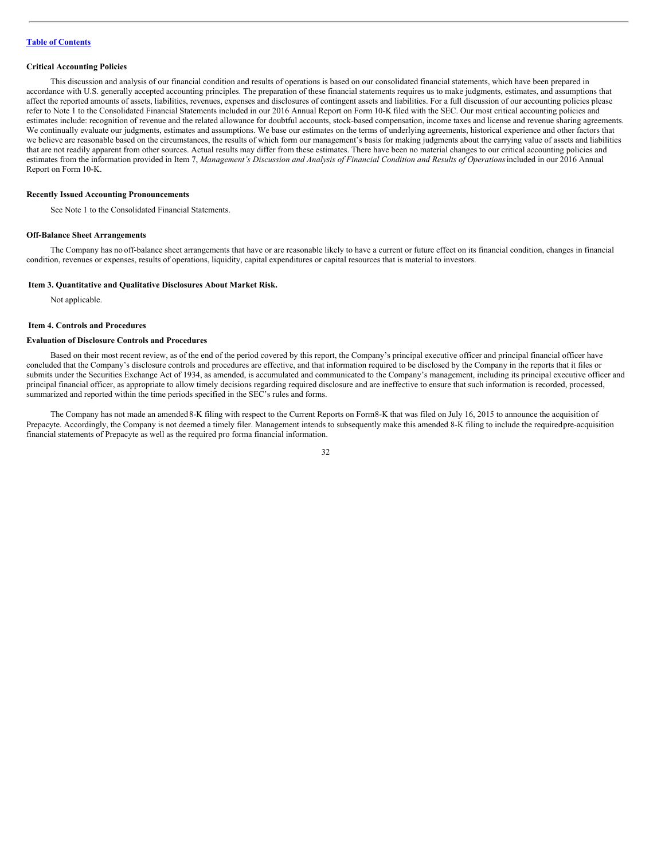### **Critical Accounting Policies**

This discussion and analysis of our financial condition and results of operations is based on our consolidated financial statements, which have been prepared in accordance with U.S. generally accepted accounting principles. The preparation of these financial statements requires us to make judgments, estimates, and assumptions that affect the reported amounts of assets, liabilities, revenues, expenses and disclosures of contingent assets and liabilities. For a full discussion of our accounting policies please refer to Note 1 to the Consolidated Financial Statements included in our 2016 Annual Report on Form 10-K filed with the SEC. Our most critical accounting policies and estimates include: recognition of revenue and the related allowance for doubtful accounts, stock-based compensation, income taxes and license and revenue sharing agreements. We continually evaluate our judgments, estimates and assumptions. We base our estimates on the terms of underlying agreements, historical experience and other factors that we believe are reasonable based on the circumstances, the results of which form our management's basis for making judgments about the carrying value of assets and liabilities that are not readily apparent from other sources. Actual results may differ from these estimates. There have been no material changes to our critical accounting policies and estimates from the information provided in Item 7, Management's Discussion and Analysis of Financial Condition and Results of Operations included in our 2016 Annual Report on Form 10-K.

## **Recently Issued Accounting Pronouncements**

See Note 1 to the Consolidated Financial Statements.

#### **Off-Balance Sheet Arrangements**

The Company has no off-balance sheet arrangements that have or are reasonable likely to have a current or future effect on its financial condition, changes in financial condition, revenues or expenses, results of operations, liquidity, capital expenditures or capital resources that is material to investors.

#### <span id="page-31-0"></span>**Item 3. Quantitative and Qualitative Disclosures About Market Risk.**

Not applicable.

#### <span id="page-31-1"></span>**Item 4. Controls and Procedures**

## **Evaluation of Disclosure Controls and Procedures**

Based on their most recent review, as of the end of the period covered by this report, the Company's principal executive officer and principal financial officer have concluded that the Company's disclosure controls and procedures are effective, and that information required to be disclosed by the Company in the reports that it files or submits under the Securities Exchange Act of 1934, as amended, is accumulated and communicated to the Company's management, including its principal executive officer and principal financial officer, as appropriate to allow timely decisions regarding required disclosure and are ineffective to ensure that such information is recorded, processed, summarized and reported within the time periods specified in the SEC's rules and forms.

The Company has not made an amended 8-K filing with respect to the Current Reports on Form8-K that was filed on July 16, 2015 to announce the acquisition of Prepacyte. Accordingly, the Company is not deemed a timely filer. Management intends to subsequently make this amended 8-K filing to include the requiredpre-acquisition financial statements of Prepacyte as well as the required pro forma financial information.

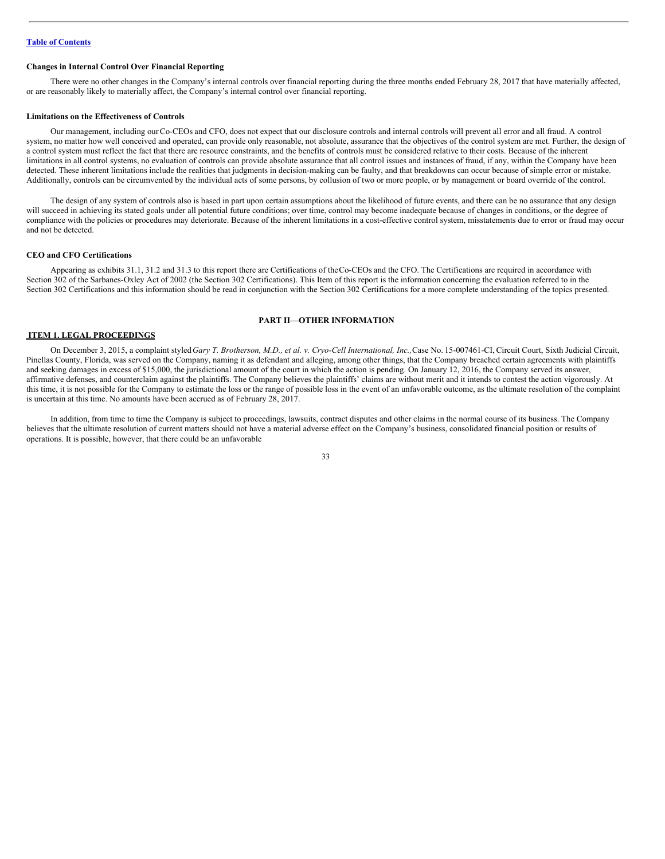## **Changes in Internal Control Over Financial Reporting**

There were no other changes in the Company's internal controls over financial reporting during the three months ended February 28, 2017 that have materially affected, or are reasonably likely to materially affect, the Company's internal control over financial reporting.

#### **Limitations on the Effectiveness of Controls**

Our management, including ourCo-CEOs and CFO, does not expect that our disclosure controls and internal controls will prevent all error and all fraud. A control system, no matter how well conceived and operated, can provide only reasonable, not absolute, assurance that the objectives of the control system are met. Further, the design of a control system must reflect the fact that there are resource constraints, and the benefits of controls must be considered relative to their costs. Because of the inherent limitations in all control systems, no evaluation of controls can provide absolute assurance that all control issues and instances of fraud, if any, within the Company have been detected. These inherent limitations include the realities that judgments in decision-making can be faulty, and that breakdowns can occur because of simple error or mistake. Additionally, controls can be circumvented by the individual acts of some persons, by collusion of two or more people, or by management or board override of the control.

The design of any system of controls also is based in part upon certain assumptions about the likelihood of future events, and there can be no assurance that any design will succeed in achieving its stated goals under all potential future conditions; over time, control may become inadequate because of changes in conditions, or the degree of compliance with the policies or procedures may deteriorate. Because of the inherent limitations in a cost-effective control system, misstatements due to error or fraud may occur and not be detected.

## **CEO and CFO Certifications**

Appearing as exhibits 31.1, 31.2 and 31.3 to this report there are Certifications of theCo-CEOs and the CFO. The Certifications are required in accordance with Section 302 of the Sarbanes-Oxley Act of 2002 (the Section 302 Certifications). This Item of this report is the information concerning the evaluation referred to in the Section 302 Certifications and this information should be read in conjunction with the Section 302 Certifications for a more complete understanding of the topics presented.

## <span id="page-32-0"></span>**PART II—OTHER INFORMATION**

## <span id="page-32-1"></span>**ITEM 1. LEGAL PROCEEDINGS**

On December 3, 2015, a complaint styled Gary T. Brotherson, M.D., et al. v. Cryo-Cell International, Inc., Case No. 15-007461-CI, Circuit Court, Sixth Judicial Circuit, Pinellas County, Florida, was served on the Company, naming it as defendant and alleging, among other things, that the Company breached certain agreements with plaintiffs and seeking damages in excess of \$15,000, the jurisdictional amount of the court in which the action is pending. On January 12, 2016, the Company served its answer, affirmative defenses, and counterclaim against the plaintiffs. The Company believes the plaintiffs' claims are without merit and it intends to contest the action vigorously. At this time, it is not possible for the Company to estimate the loss or the range of possible loss in the event of an unfavorable outcome, as the ultimate resolution of the complaint is uncertain at this time. No amounts have been accrued as of February 28, 2017.

In addition, from time to time the Company is subject to proceedings, lawsuits, contract disputes and other claims in the normal course of its business. The Company believes that the ultimate resolution of current matters should not have a material adverse effect on the Company's business, consolidated financial position or results of operations. It is possible, however, that there could be an unfavorable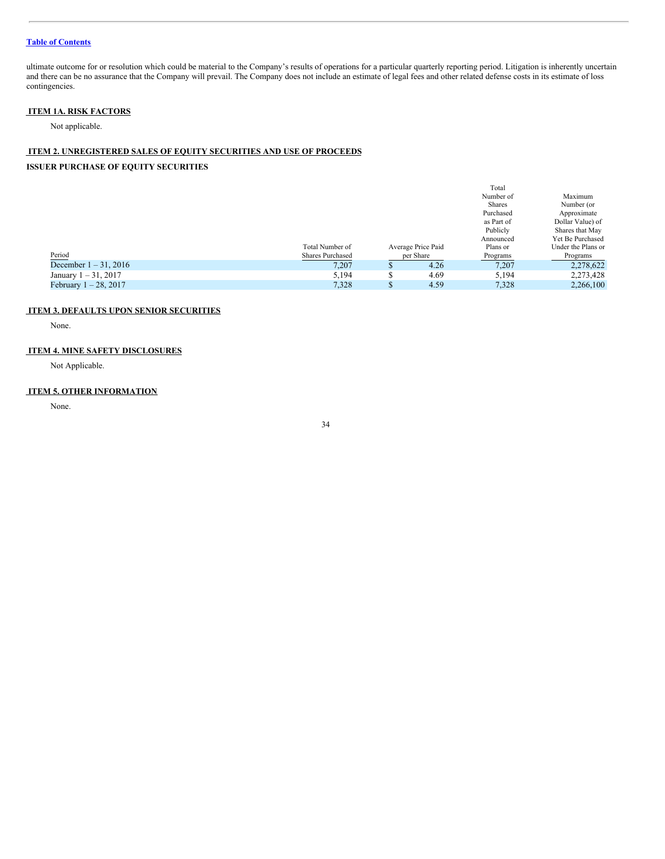ultimate outcome for or resolution which could be material to the Company's results of operations for a particular quarterly reporting period. Litigation is inherently uncertain and there can be no assurance that the Company will prevail. The Company does not include an estimate of legal fees and other related defense costs in its estimate of loss contingencies.

## <span id="page-33-0"></span>**ITEM 1A. RISK FACTORS**

Not applicable.

## <span id="page-33-1"></span>**ITEM 2. UNREGISTERED SALES OF EQUITY SECURITIES AND USE OF PROCEEDS**

## **ISSUER PURCHASE OF EQUITY SECURITIES**

|                          |                  |    |                    | Total         |                    |
|--------------------------|------------------|----|--------------------|---------------|--------------------|
|                          |                  |    |                    | Number of     | Maximum            |
|                          |                  |    |                    | <b>Shares</b> | Number (or         |
|                          |                  |    |                    | Purchased     | Approximate        |
|                          |                  |    |                    | as Part of    | Dollar Value) of   |
|                          |                  |    |                    | Publicly      | Shares that May    |
|                          |                  |    |                    | Announced     | Yet Be Purchased   |
|                          | Total Number of  |    | Average Price Paid | Plans or      | Under the Plans or |
| Period                   | Shares Purchased |    | per Share          | Programs      | Programs           |
| December $1 - 31$ , 2016 | 7,207            | \$ | 4.26               | 7,207         | 2,278,622          |
| January $1 - 31$ , 2017  | 5,194            | S  | 4.69               | 5,194         | 2,273,428          |
| February $1 - 28$ , 2017 | 7,328            | \$ | 4.59               | 7,328         | 2,266,100          |
|                          |                  |    |                    |               |                    |

## <span id="page-33-2"></span>**ITEM 3. DEFAULTS UPON SENIOR SECURITIES**

None.

## <span id="page-33-3"></span>**ITEM 4. MINE SAFETY DISCLOSURES**

Not Applicable.

## <span id="page-33-4"></span>**ITEM 5. OTHER INFORMATION**

None.

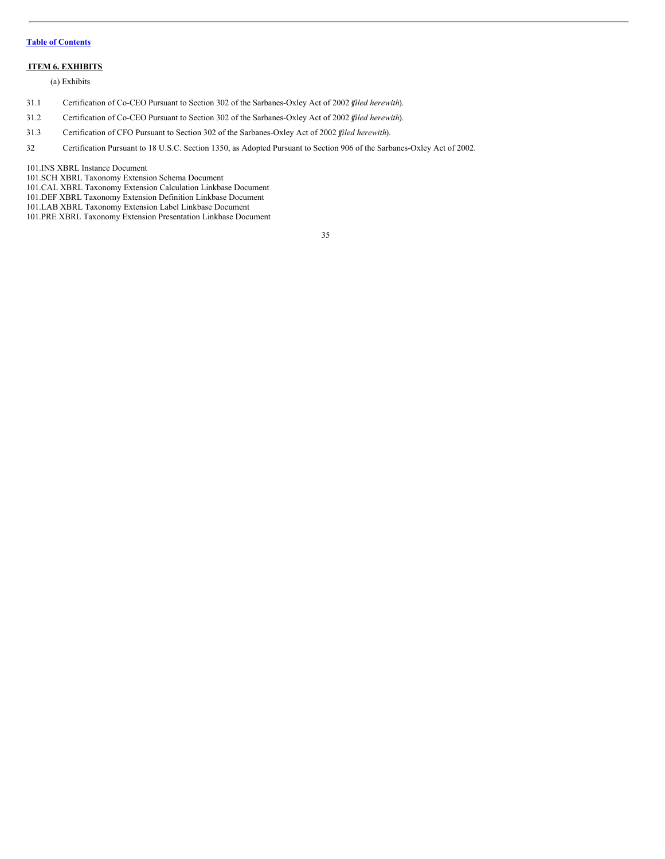## <span id="page-34-0"></span>**ITEM 6. EXHIBITS**

(a) Exhibits

- 31.1 Certification of Co-CEO Pursuant to Section 302 of the Sarbanes-Oxley Act of 2002 (*filed herewith*).
- 31.2 Certification of Co-CEO Pursuant to Section 302 of the Sarbanes-Oxley Act of 2002 (*filed herewith*).
- 31.3 Certification of CFO Pursuant to Section 302 of the Sarbanes-Oxley Act of 2002 (*filed herewith*).
- 32 Certification Pursuant to 18 U.S.C. Section 1350, as Adopted Pursuant to Section 906 of the Sarbanes-Oxley Act of 2002.

101.INS XBRL Instance Document

101.SCH XBRL Taxonomy Extension Schema Document

- 101.CAL XBRL Taxonomy Extension Calculation Linkbase Document
- 101.DEF XBRL Taxonomy Extension Definition Linkbase Document
- 101.LAB XBRL Taxonomy Extension Label Linkbase Document

101.PRE XBRL Taxonomy Extension Presentation Linkbase Document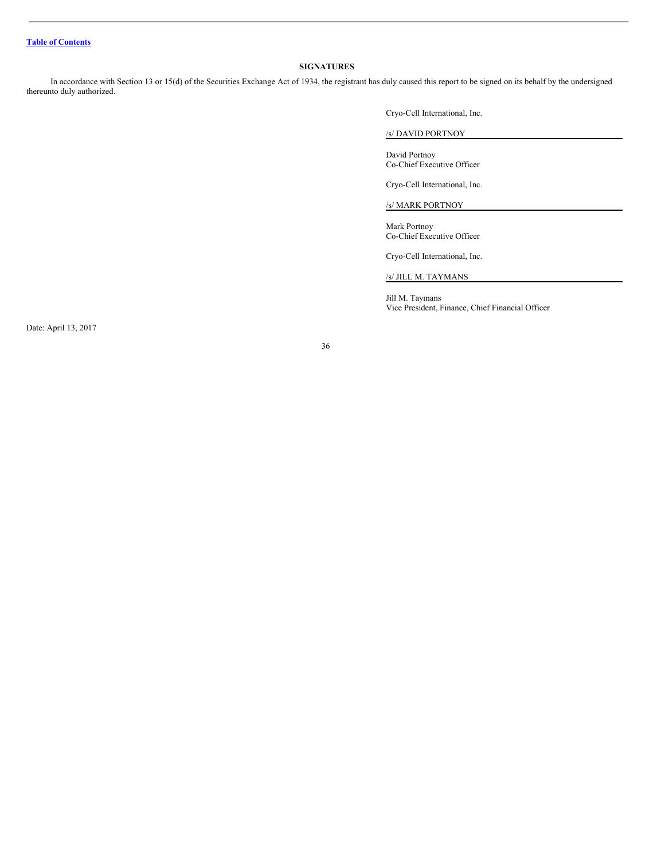## <span id="page-35-0"></span>**SIGNATURES**

In accordance with Section 13 or 15(d) of the Securities Exchange Act of 1934, the registrant has duly caused this report to be signed on its behalf by the undersigned thereunto duly authorized.

Cryo-Cell International, Inc.

/s/ DAVID PORTNOY

David Portnoy Co-Chief Executive Officer

Cryo-Cell International, Inc.

/s/ MARK PORTNOY

Mark Portnoy Co-Chief Executive Officer

Cryo-Cell International, Inc.

/s/ JILL M. TAYMANS

Jill M. Taymans Vice President, Finance, Chief Financial Officer

Date: April 13, 2017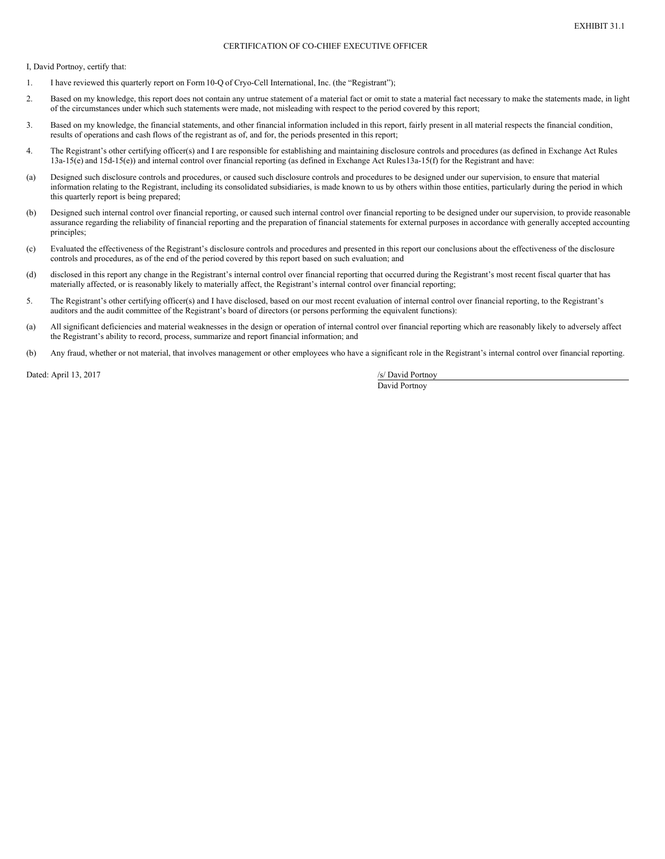## CERTIFICATION OF CO-CHIEF EXECUTIVE OFFICER

I, David Portnoy, certify that:

- 1. I have reviewed this quarterly report on Form10-Q of Cryo-Cell International, Inc. (the "Registrant");
- 2. Based on my knowledge, this report does not contain any untrue statement of a material fact or omit to state a material fact necessary to make the statements made, in light of the circumstances under which such statements were made, not misleading with respect to the period covered by this report;
- 3. Based on my knowledge, the financial statements, and other financial information included in this report, fairly present in all material respects the financial condition, results of operations and cash flows of the registrant as of, and for, the periods presented in this report;
- 4. The Registrant's other certifying officer(s) and I are responsible for establishing and maintaining disclosure controls and procedures (as defined in Exchange Act Rules 13a-15(e) and 15d-15(e)) and internal control over financial reporting (as defined in Exchange Act Rules13a-15(f) for the Registrant and have:
- (a) Designed such disclosure controls and procedures, or caused such disclosure controls and procedures to be designed under our supervision, to ensure that material information relating to the Registrant, including its consolidated subsidiaries, is made known to us by others within those entities, particularly during the period in which this quarterly report is being prepared;
- (b) Designed such internal control over financial reporting, or caused such internal control over financial reporting to be designed under our supervision, to provide reasonable assurance regarding the reliability of financial reporting and the preparation of financial statements for external purposes in accordance with generally accepted accounting principles;
- (c) Evaluated the effectiveness of the Registrant's disclosure controls and procedures and presented in this report our conclusions about the effectiveness of the disclosure controls and procedures, as of the end of the period covered by this report based on such evaluation; and
- (d) disclosed in this report any change in the Registrant's internal control over financial reporting that occurred during the Registrant's most recent fiscal quarter that has materially affected, or is reasonably likely to materially affect, the Registrant's internal control over financial reporting;
- 5. The Registrant's other certifying officer(s) and I have disclosed, based on our most recent evaluation of internal control over financial reporting, to the Registrant's auditors and the audit committee of the Registrant's board of directors (or persons performing the equivalent functions):
- (a) All significant deficiencies and material weaknesses in the design or operation of internal control over financial reporting which are reasonably likely to adversely affect the Registrant's ability to record, process, summarize and report financial information; and
- (b) Any fraud, whether or not material, that involves management or other employees who have a significant role in the Registrant's internal control over financial reporting.

Dated: April 13, 2017 /s/ David Portnoy

David Portnoy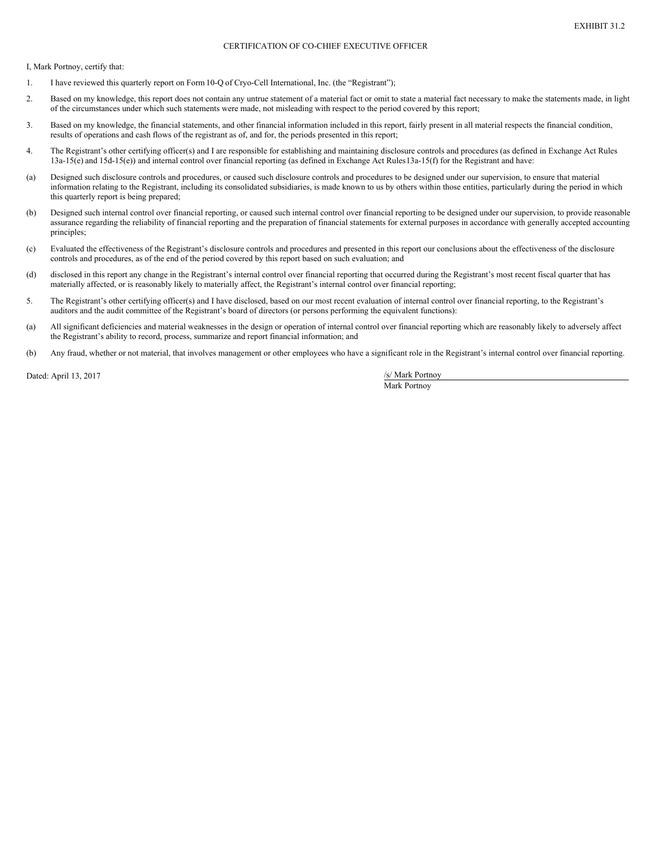## CERTIFICATION OF CO-CHIEF EXECUTIVE OFFICER

I, Mark Portnoy, certify that:

- 1. I have reviewed this quarterly report on Form10-Q of Cryo-Cell International, Inc. (the "Registrant");
- 2. Based on my knowledge, this report does not contain any untrue statement of a material fact or omit to state a material fact necessary to make the statements made, in light of the circumstances under which such statements were made, not misleading with respect to the period covered by this report;
- 3. Based on my knowledge, the financial statements, and other financial information included in this report, fairly present in all material respects the financial condition, results of operations and cash flows of the registrant as of, and for, the periods presented in this report;
- 4. The Registrant's other certifying officer(s) and I are responsible for establishing and maintaining disclosure controls and procedures (as defined in Exchange Act Rules 13a-15(e) and 15d-15(e)) and internal control over financial reporting (as defined in Exchange Act Rules13a-15(f) for the Registrant and have:
- (a) Designed such disclosure controls and procedures, or caused such disclosure controls and procedures to be designed under our supervision, to ensure that material information relating to the Registrant, including its consolidated subsidiaries, is made known to us by others within those entities, particularly during the period in which this quarterly report is being prepared;
- (b) Designed such internal control over financial reporting, or caused such internal control over financial reporting to be designed under our supervision, to provide reasonable assurance regarding the reliability of financial reporting and the preparation of financial statements for external purposes in accordance with generally accepted accounting principles;
- (c) Evaluated the effectiveness of the Registrant's disclosure controls and procedures and presented in this report our conclusions about the effectiveness of the disclosure controls and procedures, as of the end of the period covered by this report based on such evaluation; and
- (d) disclosed in this report any change in the Registrant's internal control over financial reporting that occurred during the Registrant's most recent fiscal quarter that has materially affected, or is reasonably likely to materially affect, the Registrant's internal control over financial reporting;
- 5. The Registrant's other certifying officer(s) and I have disclosed, based on our most recent evaluation of internal control over financial reporting, to the Registrant's auditors and the audit committee of the Registrant's board of directors (or persons performing the equivalent functions):
- (a) All significant deficiencies and material weaknesses in the design or operation of internal control over financial reporting which are reasonably likely to adversely affect the Registrant's ability to record, process, summarize and report financial information; and
- (b) Any fraud, whether or not material, that involves management or other employees who have a significant role in the Registrant's internal control over financial reporting.

Dated: April 13, 2017 /s/ Mark Portnoy

Mark Portnoy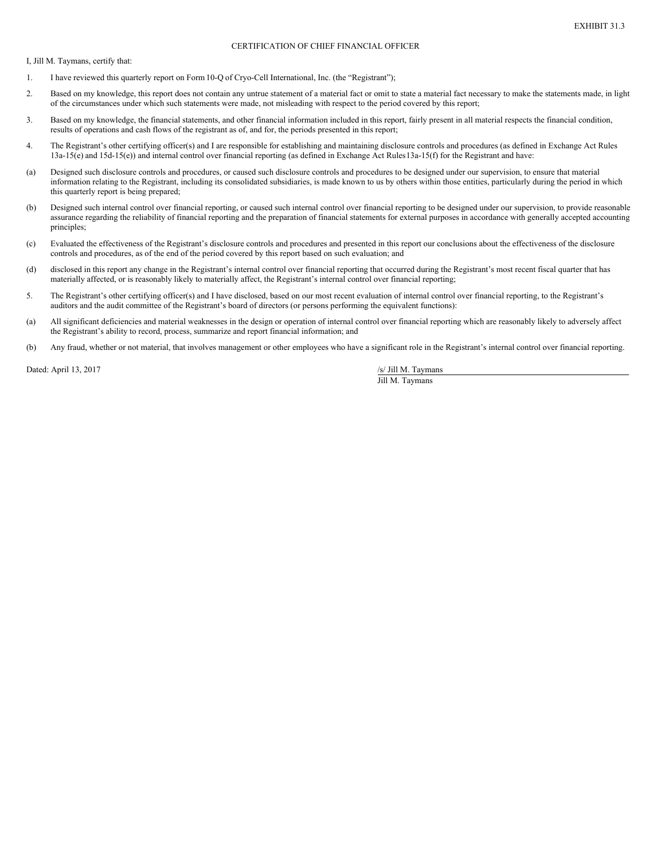## CERTIFICATION OF CHIEF FINANCIAL OFFICER

I, Jill M. Taymans, certify that:

- 1. I have reviewed this quarterly report on Form10-Q of Cryo-Cell International, Inc. (the "Registrant");
- 2. Based on my knowledge, this report does not contain any untrue statement of a material fact or omit to state a material fact necessary to make the statements made, in light of the circumstances under which such statements were made, not misleading with respect to the period covered by this report;
- 3. Based on my knowledge, the financial statements, and other financial information included in this report, fairly present in all material respects the financial condition, results of operations and cash flows of the registrant as of, and for, the periods presented in this report;
- 4. The Registrant's other certifying officer(s) and I are responsible for establishing and maintaining disclosure controls and procedures (as defined in Exchange Act Rules 13a-15(e) and 15d-15(e)) and internal control over financial reporting (as defined in Exchange Act Rules13a-15(f) for the Registrant and have:
- (a) Designed such disclosure controls and procedures, or caused such disclosure controls and procedures to be designed under our supervision, to ensure that material information relating to the Registrant, including its consolidated subsidiaries, is made known to us by others within those entities, particularly during the period in which this quarterly report is being prepared;
- (b) Designed such internal control over financial reporting, or caused such internal control over financial reporting to be designed under our supervision, to provide reasonable assurance regarding the reliability of financial reporting and the preparation of financial statements for external purposes in accordance with generally accepted accounting principles;
- (c) Evaluated the effectiveness of the Registrant's disclosure controls and procedures and presented in this report our conclusions about the effectiveness of the disclosure controls and procedures, as of the end of the period covered by this report based on such evaluation; and
- (d) disclosed in this report any change in the Registrant's internal control over financial reporting that occurred during the Registrant's most recent fiscal quarter that has materially affected, or is reasonably likely to materially affect, the Registrant's internal control over financial reporting;
- 5. The Registrant's other certifying officer(s) and I have disclosed, based on our most recent evaluation of internal control over financial reporting, to the Registrant's auditors and the audit committee of the Registrant's board of directors (or persons performing the equivalent functions):
- (a) All significant deficiencies and material weaknesses in the design or operation of internal control over financial reporting which are reasonably likely to adversely affect the Registrant's ability to record, process, summarize and report financial information; and
- (b) Any fraud, whether or not material, that involves management or other employees who have a significant role in the Registrant's internal control over financial reporting.

Dated: April 13, 2017 /s/ Jill M. Taymans

Jill M. Taymans